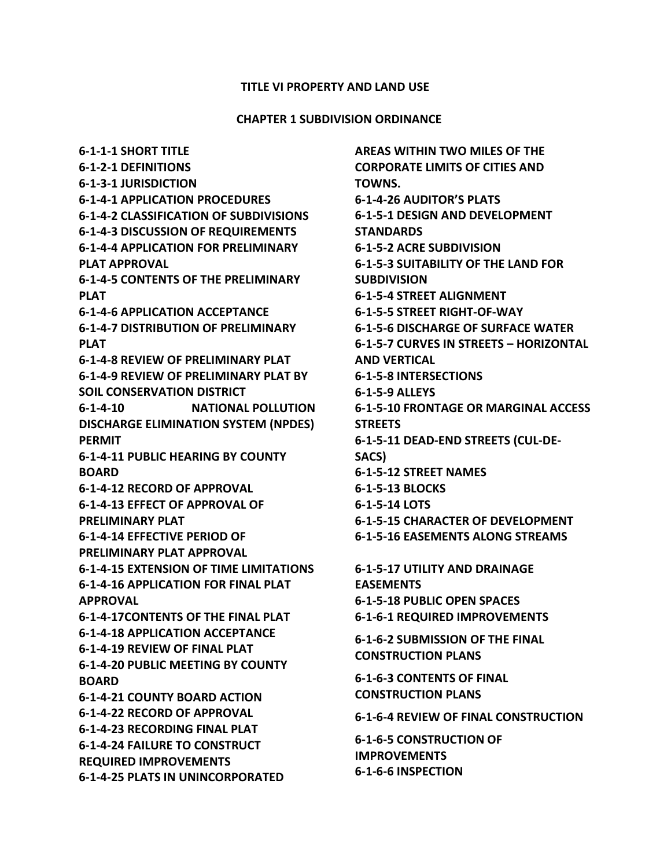#### **TITLE VI PROPERTY AND LAND USE**

#### **CHAPTER 1 SUBDIVISION ORDINANCE**

**6-1-1-1 SHORT TITLE 6-1-2-1 DEFINITIONS 6-1-3-1 JURISDICTION 6-1-4-1 APPLICATION PROCEDURES 6-1-4-2 CLASSIFICATION OF SUBDIVISIONS 6-1-4-3 DISCUSSION OF REQUIREMENTS 6-1-4-4 APPLICATION FOR PRELIMINARY PLAT APPROVAL 6-1-4-5 CONTENTS OF THE PRELIMINARY PLAT 6-1-4-6 APPLICATION ACCEPTANCE 6-1-4-7 DISTRIBUTION OF PRELIMINARY PLAT 6-1-4-8 REVIEW OF PRELIMINARY PLAT 6-1-4-9 REVIEW OF PRELIMINARY PLAT BY SOIL CONSERVATION DISTRICT 6-1-4-10 NATIONAL POLLUTION DISCHARGE ELIMINATION SYSTEM (NPDES) PERMIT 6-1-4-11 PUBLIC HEARING BY COUNTY BOARD 6-1-4-12 RECORD OF APPROVAL 6-1-4-13 EFFECT OF APPROVAL OF PRELIMINARY PLAT 6-1-4-14 EFFECTIVE PERIOD OF PRELIMINARY PLAT APPROVAL 6-1-4-15 EXTENSION OF TIME LIMITATIONS 6-1-4-16 APPLICATION FOR FINAL PLAT APPROVAL 6-1-4-17CONTENTS OF THE FINAL PLAT 6-1-4-18 APPLICATION ACCEPTANCE 6-1-4-19 REVIEW OF FINAL PLAT 6-1-4-20 PUBLIC MEETING BY COUNTY BOARD 6-1-4-21 COUNTY BOARD ACTION 6-1-4-22 RECORD OF APPROVAL 6-1-4-23 RECORDING FINAL PLAT 6-1-4-24 FAILURE TO CONSTRUCT REQUIRED IMPROVEMENTS 6-1-4-25 PLATS IN UNINCORPORATED** 

**AREAS WITHIN TWO MILES OF THE CORPORATE LIMITS OF CITIES AND TOWNS. 6-1-4-26 AUDITOR'S PLATS 6-1-5-1 DESIGN AND DEVELOPMENT STANDARDS 6-1-5-2 ACRE SUBDIVISION 6-1-5-3 SUITABILITY OF THE LAND FOR SUBDIVISION 6-1-5-4 STREET ALIGNMENT 6-1-5-5 STREET RIGHT-OF-WAY 6-1-5-6 DISCHARGE OF SURFACE WATER 6-1-5-7 CURVES IN STREETS – HORIZONTAL AND VERTICAL 6-1-5-8 INTERSECTIONS 6-1-5-9 ALLEYS 6-1-5-10 FRONTAGE OR MARGINAL ACCESS STREETS 6-1-5-11 DEAD-END STREETS (CUL-DE-SACS) 6-1-5-12 STREET NAMES 6-1-5-13 BLOCKS 6-1-5-14 LOTS 6-1-5-15 CHARACTER OF DEVELOPMENT 6-1-5-16 EASEMENTS ALONG STREAMS 6-1-5-17 UTILITY AND DRAINAGE EASEMENTS 6-1-5-18 PUBLIC OPEN SPACES 6-1-6-1 REQUIRED IMPROVEMENTS 6-1-6-2 SUBMISSION OF THE FINAL CONSTRUCTION PLANS**

**6-1-6-3 CONTENTS OF FINAL CONSTRUCTION PLANS**

**6-1-6-4 REVIEW OF FINAL CONSTRUCTION**

**6-1-6-5 CONSTRUCTION OF IMPROVEMENTS 6-1-6-6 INSPECTION**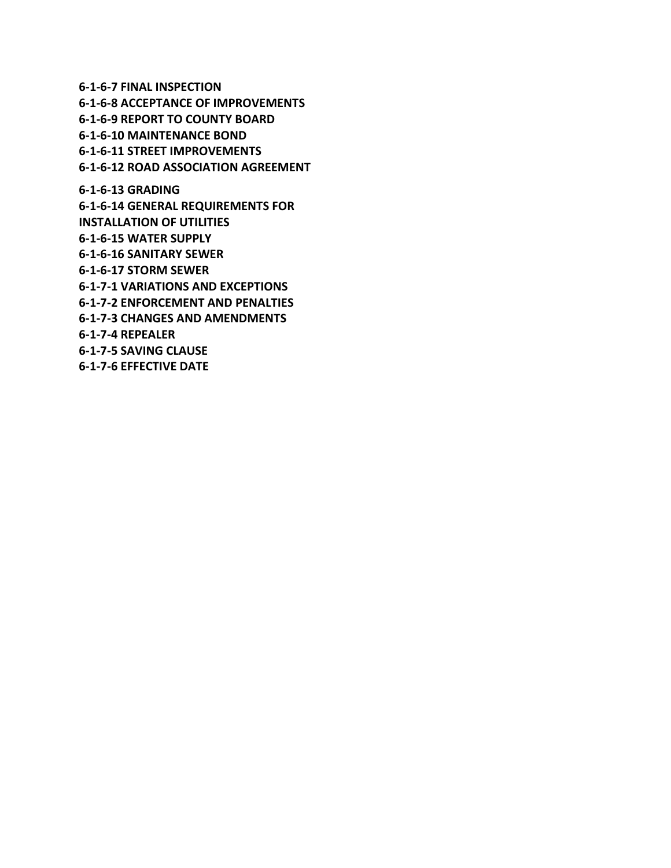**6-1-6-7 FINAL INSPECTION 6-1-6-8 ACCEPTANCE OF IMPROVEMENTS 6-1-6-9 REPORT TO COUNTY BOARD 6-1-6-10 MAINTENANCE BOND 6-1-6-11 STREET IMPROVEMENTS 6-1-6-12 ROAD ASSOCIATION AGREEMENT 6-1-6-13 GRADING 6-1-6-14 GENERAL REQUIREMENTS FOR INSTALLATION OF UTILITIES 6-1-6-15 WATER SUPPLY 6-1-6-16 SANITARY SEWER 6-1-6-17 STORM SEWER 6-1-7-1 VARIATIONS AND EXCEPTIONS 6-1-7-2 ENFORCEMENT AND PENALTIES 6-1-7-3 CHANGES AND AMENDMENTS 6-1-7-4 REPEALER**

**6-1-7-5 SAVING CLAUSE 6-1-7-6 EFFECTIVE DATE**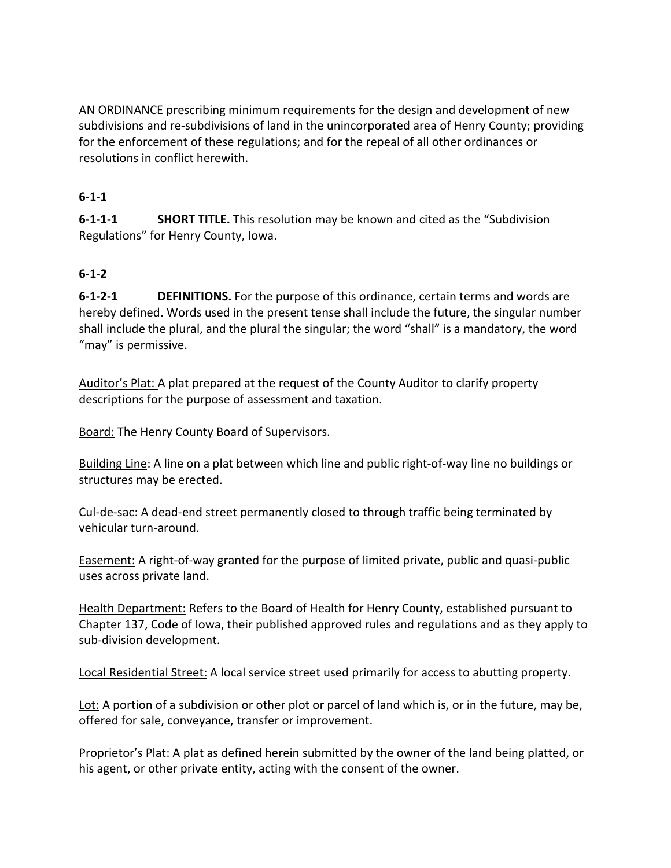AN ORDINANCE prescribing minimum requirements for the design and development of new subdivisions and re-subdivisions of land in the unincorporated area of Henry County; providing for the enforcement of these regulations; and for the repeal of all other ordinances or resolutions in conflict herewith.

### **6-1-1**

**6-1-1-1 SHORT TITLE.** This resolution may be known and cited as the "Subdivision Regulations" for Henry County, Iowa.

### **6-1-2**

**6-1-2-1 DEFINITIONS.** For the purpose of this ordinance, certain terms and words are hereby defined. Words used in the present tense shall include the future, the singular number shall include the plural, and the plural the singular; the word "shall" is a mandatory, the word "may" is permissive.

Auditor's Plat: A plat prepared at the request of the County Auditor to clarify property descriptions for the purpose of assessment and taxation.

Board: The Henry County Board of Supervisors.

Building Line: A line on a plat between which line and public right-of-way line no buildings or structures may be erected.

Cul-de-sac: A dead-end street permanently closed to through traffic being terminated by vehicular turn-around.

Easement: A right-of-way granted for the purpose of limited private, public and quasi-public uses across private land.

Health Department: Refers to the Board of Health for Henry County, established pursuant to Chapter 137, Code of Iowa, their published approved rules and regulations and as they apply to sub-division development.

Local Residential Street: A local service street used primarily for access to abutting property.

Lot: A portion of a subdivision or other plot or parcel of land which is, or in the future, may be, offered for sale, conveyance, transfer or improvement.

Proprietor's Plat: A plat as defined herein submitted by the owner of the land being platted, or his agent, or other private entity, acting with the consent of the owner.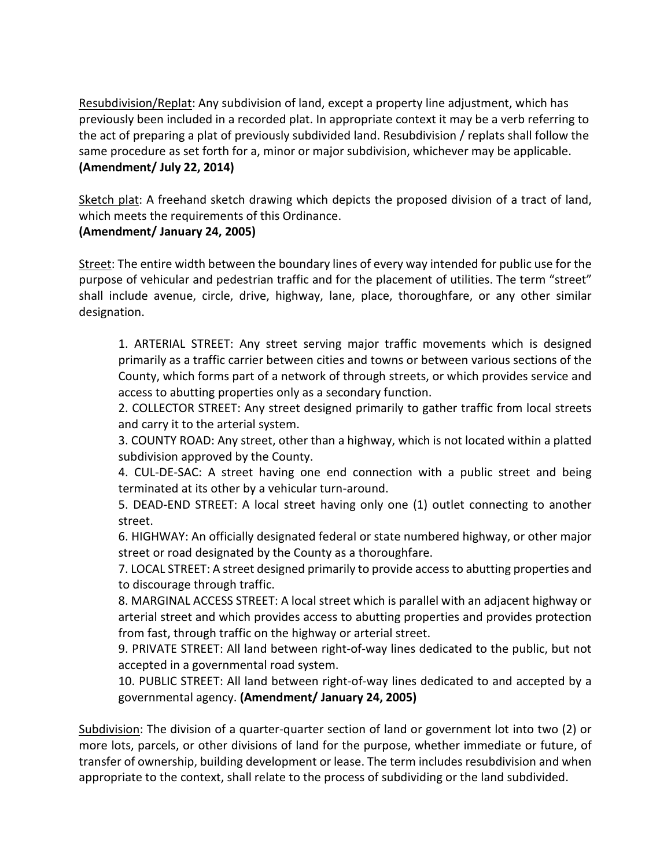Resubdivision/Replat: Any subdivision of land, except a property line adjustment, which has previously been included in a recorded plat. In appropriate context it may be a verb referring to the act of preparing a plat of previously subdivided land. Resubdivision / replats shall follow the same procedure as set forth for a, minor or major subdivision, whichever may be applicable. **(Amendment/ July 22, 2014)**

Sketch plat: A freehand sketch drawing which depicts the proposed division of a tract of land, which meets the requirements of this Ordinance.

#### **(Amendment/ January 24, 2005)**

Street: The entire width between the boundary lines of every way intended for public use for the purpose of vehicular and pedestrian traffic and for the placement of utilities. The term "street" shall include avenue, circle, drive, highway, lane, place, thoroughfare, or any other similar designation.

1. ARTERIAL STREET: Any street serving major traffic movements which is designed primarily as a traffic carrier between cities and towns or between various sections of the County, which forms part of a network of through streets, or which provides service and access to abutting properties only as a secondary function.

2. COLLECTOR STREET: Any street designed primarily to gather traffic from local streets and carry it to the arterial system.

3. COUNTY ROAD: Any street, other than a highway, which is not located within a platted subdivision approved by the County.

4. CUL-DE-SAC: A street having one end connection with a public street and being terminated at its other by a vehicular turn-around.

5. DEAD-END STREET: A local street having only one (1) outlet connecting to another street.

6. HIGHWAY: An officially designated federal or state numbered highway, or other major street or road designated by the County as a thoroughfare.

7. LOCAL STREET: A street designed primarily to provide access to abutting properties and to discourage through traffic.

8. MARGINAL ACCESS STREET: A local street which is parallel with an adjacent highway or arterial street and which provides access to abutting properties and provides protection from fast, through traffic on the highway or arterial street.

9. PRIVATE STREET: All land between right-of-way lines dedicated to the public, but not accepted in a governmental road system.

10. PUBLIC STREET: All land between right-of-way lines dedicated to and accepted by a governmental agency. **(Amendment/ January 24, 2005)**

Subdivision: The division of a quarter-quarter section of land or government lot into two (2) or more lots, parcels, or other divisions of land for the purpose, whether immediate or future, of transfer of ownership, building development or lease. The term includes resubdivision and when appropriate to the context, shall relate to the process of subdividing or the land subdivided.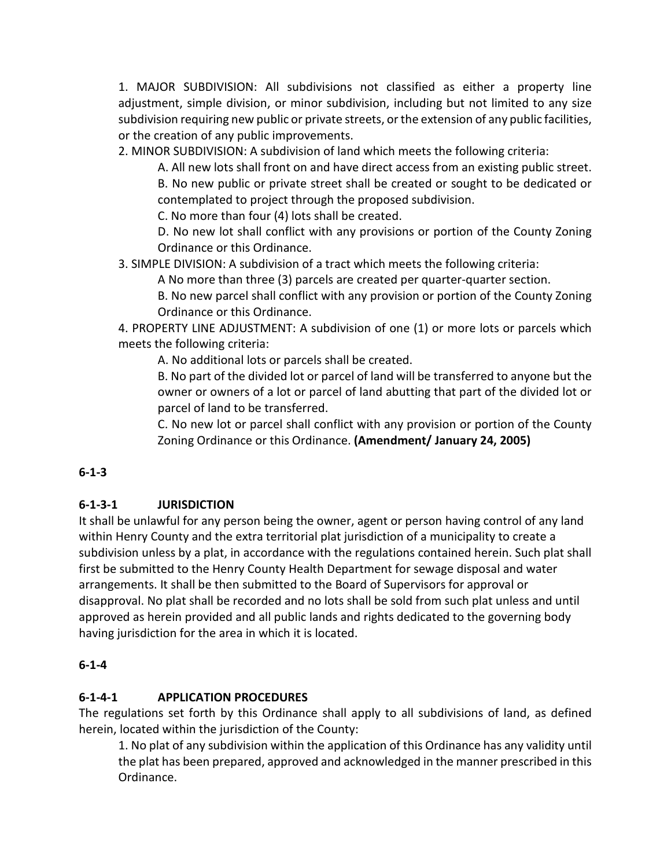1. MAJOR SUBDIVISION: All subdivisions not classified as either a property line adjustment, simple division, or minor subdivision, including but not limited to any size subdivision requiring new public or private streets, or the extension of any public facilities, or the creation of any public improvements.

2. MINOR SUBDIVISION: A subdivision of land which meets the following criteria:

A. All new lots shall front on and have direct access from an existing public street. B. No new public or private street shall be created or sought to be dedicated or contemplated to project through the proposed subdivision.

C. No more than four (4) lots shall be created.

D. No new lot shall conflict with any provisions or portion of the County Zoning Ordinance or this Ordinance.

3. SIMPLE DIVISION: A subdivision of a tract which meets the following criteria:

A No more than three (3) parcels are created per quarter-quarter section.

B. No new parcel shall conflict with any provision or portion of the County Zoning Ordinance or this Ordinance.

4. PROPERTY LINE ADJUSTMENT: A subdivision of one (1) or more lots or parcels which meets the following criteria:

A. No additional lots or parcels shall be created.

B. No part of the divided lot or parcel of land will be transferred to anyone but the owner or owners of a lot or parcel of land abutting that part of the divided lot or parcel of land to be transferred.

C. No new lot or parcel shall conflict with any provision or portion of the County Zoning Ordinance or this Ordinance. **(Amendment/ January 24, 2005)**

# **6-1-3**

# **6-1-3-1 JURISDICTION**

It shall be unlawful for any person being the owner, agent or person having control of any land within Henry County and the extra territorial plat jurisdiction of a municipality to create a subdivision unless by a plat, in accordance with the regulations contained herein. Such plat shall first be submitted to the Henry County Health Department for sewage disposal and water arrangements. It shall be then submitted to the Board of Supervisors for approval or disapproval. No plat shall be recorded and no lots shall be sold from such plat unless and until approved as herein provided and all public lands and rights dedicated to the governing body having jurisdiction for the area in which it is located.

#### **6-1-4**

# **6-1-4-1 APPLICATION PROCEDURES**

The regulations set forth by this Ordinance shall apply to all subdivisions of land, as defined herein, located within the jurisdiction of the County:

1. No plat of any subdivision within the application of this Ordinance has any validity until the plat has been prepared, approved and acknowledged in the manner prescribed in this Ordinance.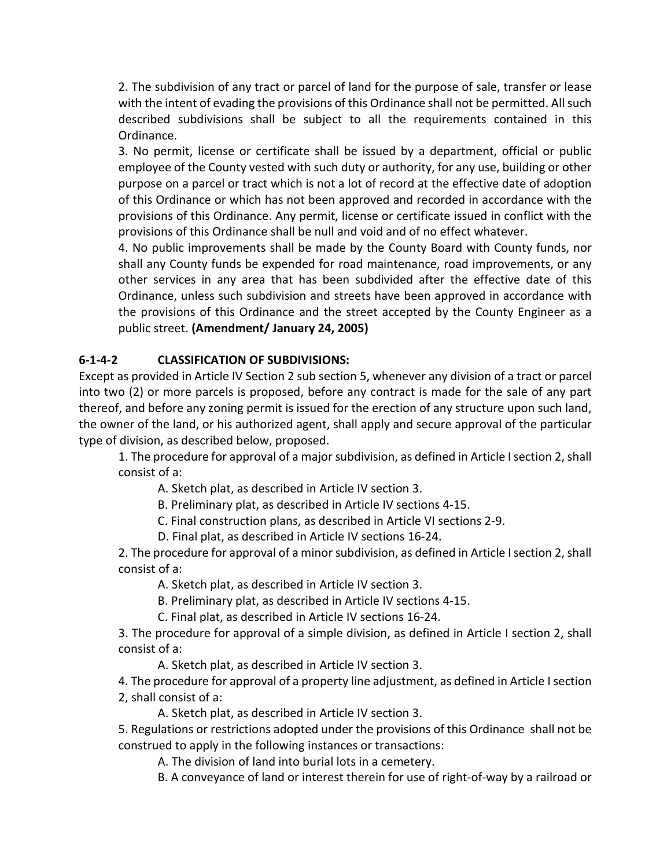2. The subdivision of any tract or parcel of land for the purpose of sale, transfer or lease with the intent of evading the provisions of this Ordinance shall not be permitted. All such described subdivisions shall be subject to all the requirements contained in this Ordinance.

3. No permit, license or certificate shall be issued by a department, official or public employee of the County vested with such duty or authority, for any use, building or other purpose on a parcel or tract which is not a lot of record at the effective date of adoption of this Ordinance or which has not been approved and recorded in accordance with the provisions of this Ordinance. Any permit, license or certificate issued in conflict with the provisions of this Ordinance shall be null and void and of no effect whatever.

4. No public improvements shall be made by the County Board with County funds, nor shall any County funds be expended for road maintenance, road improvements, or any other services in any area that has been subdivided after the effective date of this Ordinance, unless such subdivision and streets have been approved in accordance with the provisions of this Ordinance and the street accepted by the County Engineer as a public street. **(Amendment/ January 24, 2005)**

# **6-1-4-2 CLASSIFICATION OF SUBDIVISIONS:**

Except as provided in Article IV Section 2 sub section 5, whenever any division of a tract or parcel into two (2) or more parcels is proposed, before any contract is made for the sale of any part thereof, and before any zoning permit is issued for the erection of any structure upon such land, the owner of the land, or his authorized agent, shall apply and secure approval of the particular type of division, as described below, proposed.

1. The procedure for approval of a major subdivision, as defined in Article I section 2, shall consist of a:

A. Sketch plat, as described in Article IV section 3.

B. Preliminary plat, as described in Article IV sections 4-15.

C. Final construction plans, as described in Article VI sections 2-9.

D. Final plat, as described in Article IV sections 16-24.

2. The procedure for approval of a minor subdivision, as defined in Article I section 2, shall consist of a:

A. Sketch plat, as described in Article IV section 3.

B. Preliminary plat, as described in Article IV sections 4-15.

C. Final plat, as described in Article IV sections 16-24.

3. The procedure for approval of a simple division, as defined in Article I section 2, shall consist of a:

A. Sketch plat, as described in Article IV section 3.

4. The procedure for approval of a property line adjustment, as defined in Article I section 2, shall consist of a:

A. Sketch plat, as described in Article IV section 3.

5. Regulations or restrictions adopted under the provisions of this Ordinance shall not be construed to apply in the following instances or transactions:

A. The division of land into burial lots in a cemetery.

B. A conveyance of land or interest therein for use of right-of-way by a railroad or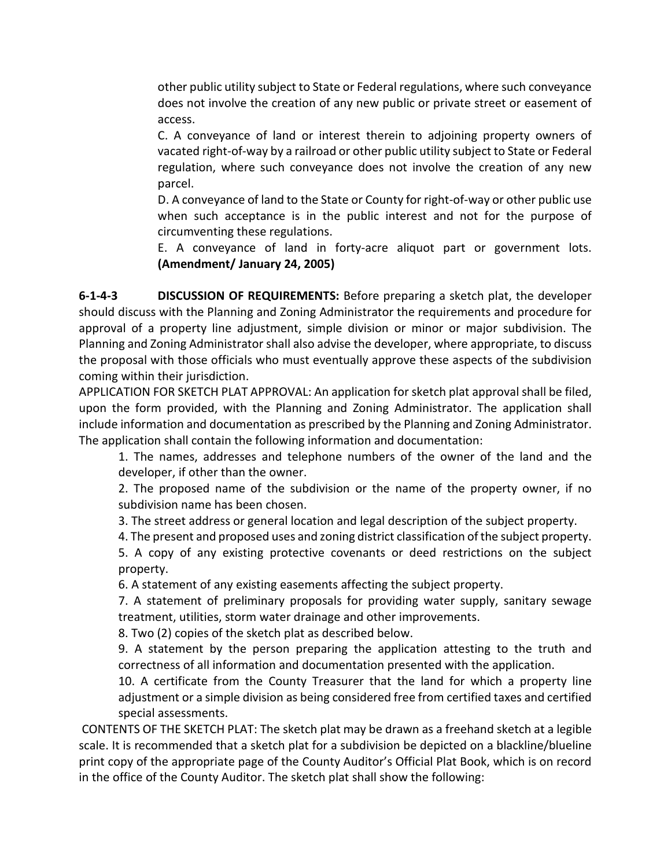other public utility subject to State or Federal regulations, where such conveyance does not involve the creation of any new public or private street or easement of access.

C. A conveyance of land or interest therein to adjoining property owners of vacated right-of-way by a railroad or other public utility subject to State or Federal regulation, where such conveyance does not involve the creation of any new parcel.

D. A conveyance of land to the State or County for right-of-way or other public use when such acceptance is in the public interest and not for the purpose of circumventing these regulations.

E. A conveyance of land in forty-acre aliquot part or government lots. **(Amendment/ January 24, 2005)**

**6-1-4-3 DISCUSSION OF REQUIREMENTS:** Before preparing a sketch plat, the developer should discuss with the Planning and Zoning Administrator the requirements and procedure for approval of a property line adjustment, simple division or minor or major subdivision. The Planning and Zoning Administrator shall also advise the developer, where appropriate, to discuss the proposal with those officials who must eventually approve these aspects of the subdivision coming within their jurisdiction.

APPLICATION FOR SKETCH PLAT APPROVAL: An application for sketch plat approval shall be filed, upon the form provided, with the Planning and Zoning Administrator. The application shall include information and documentation as prescribed by the Planning and Zoning Administrator. The application shall contain the following information and documentation:

1. The names, addresses and telephone numbers of the owner of the land and the developer, if other than the owner.

2. The proposed name of the subdivision or the name of the property owner, if no subdivision name has been chosen.

3. The street address or general location and legal description of the subject property.

4. The present and proposed uses and zoning district classification of the subject property.

5. A copy of any existing protective covenants or deed restrictions on the subject property.

6. A statement of any existing easements affecting the subject property.

7. A statement of preliminary proposals for providing water supply, sanitary sewage treatment, utilities, storm water drainage and other improvements.

8. Two (2) copies of the sketch plat as described below.

9. A statement by the person preparing the application attesting to the truth and correctness of all information and documentation presented with the application.

10. A certificate from the County Treasurer that the land for which a property line adjustment or a simple division as being considered free from certified taxes and certified special assessments.

CONTENTS OF THE SKETCH PLAT: The sketch plat may be drawn as a freehand sketch at a legible scale. It is recommended that a sketch plat for a subdivision be depicted on a blackline/blueline print copy of the appropriate page of the County Auditor's Official Plat Book, which is on record in the office of the County Auditor. The sketch plat shall show the following: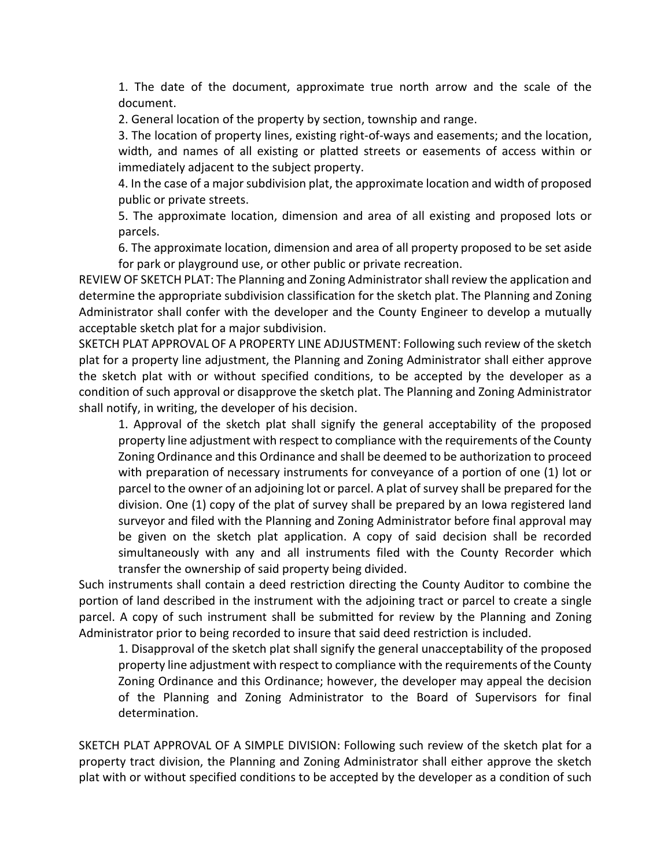1. The date of the document, approximate true north arrow and the scale of the document.

2. General location of the property by section, township and range.

3. The location of property lines, existing right-of-ways and easements; and the location, width, and names of all existing or platted streets or easements of access within or immediately adjacent to the subject property.

4. In the case of a major subdivision plat, the approximate location and width of proposed public or private streets.

5. The approximate location, dimension and area of all existing and proposed lots or parcels.

6. The approximate location, dimension and area of all property proposed to be set aside for park or playground use, or other public or private recreation.

REVIEW OF SKETCH PLAT: The Planning and Zoning Administratorshall review the application and determine the appropriate subdivision classification for the sketch plat. The Planning and Zoning Administrator shall confer with the developer and the County Engineer to develop a mutually acceptable sketch plat for a major subdivision.

SKETCH PLAT APPROVAL OF A PROPERTY LINE ADJUSTMENT: Following such review of the sketch plat for a property line adjustment, the Planning and Zoning Administrator shall either approve the sketch plat with or without specified conditions, to be accepted by the developer as a condition of such approval or disapprove the sketch plat. The Planning and Zoning Administrator shall notify, in writing, the developer of his decision.

1. Approval of the sketch plat shall signify the general acceptability of the proposed property line adjustment with respect to compliance with the requirements of the County Zoning Ordinance and this Ordinance and shall be deemed to be authorization to proceed with preparation of necessary instruments for conveyance of a portion of one (1) lot or parcel to the owner of an adjoining lot or parcel. A plat of survey shall be prepared for the division. One (1) copy of the plat of survey shall be prepared by an Iowa registered land surveyor and filed with the Planning and Zoning Administrator before final approval may be given on the sketch plat application. A copy of said decision shall be recorded simultaneously with any and all instruments filed with the County Recorder which transfer the ownership of said property being divided.

Such instruments shall contain a deed restriction directing the County Auditor to combine the portion of land described in the instrument with the adjoining tract or parcel to create a single parcel. A copy of such instrument shall be submitted for review by the Planning and Zoning Administrator prior to being recorded to insure that said deed restriction is included.

1. Disapproval of the sketch plat shall signify the general unacceptability of the proposed property line adjustment with respect to compliance with the requirements of the County Zoning Ordinance and this Ordinance; however, the developer may appeal the decision of the Planning and Zoning Administrator to the Board of Supervisors for final determination.

SKETCH PLAT APPROVAL OF A SIMPLE DIVISION: Following such review of the sketch plat for a property tract division, the Planning and Zoning Administrator shall either approve the sketch plat with or without specified conditions to be accepted by the developer as a condition of such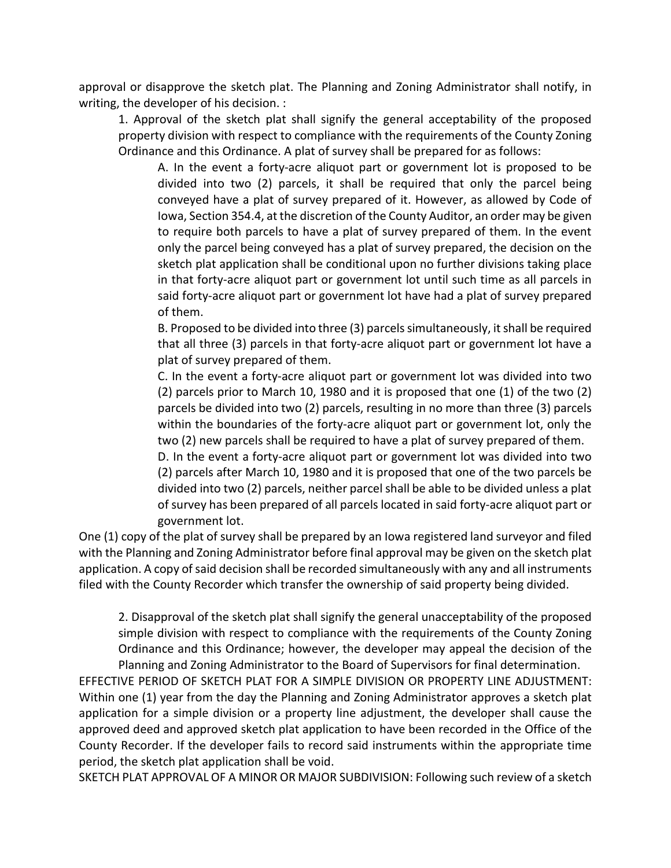approval or disapprove the sketch plat. The Planning and Zoning Administrator shall notify, in writing, the developer of his decision. :

1. Approval of the sketch plat shall signify the general acceptability of the proposed property division with respect to compliance with the requirements of the County Zoning Ordinance and this Ordinance. A plat of survey shall be prepared for as follows:

A. In the event a forty-acre aliquot part or government lot is proposed to be divided into two (2) parcels, it shall be required that only the parcel being conveyed have a plat of survey prepared of it. However, as allowed by Code of Iowa, Section 354.4, at the discretion of the County Auditor, an order may be given to require both parcels to have a plat of survey prepared of them. In the event only the parcel being conveyed has a plat of survey prepared, the decision on the sketch plat application shall be conditional upon no further divisions taking place in that forty-acre aliquot part or government lot until such time as all parcels in said forty-acre aliquot part or government lot have had a plat of survey prepared of them.

B. Proposed to be divided into three (3) parcels simultaneously, it shall be required that all three (3) parcels in that forty-acre aliquot part or government lot have a plat of survey prepared of them.

C. In the event a forty-acre aliquot part or government lot was divided into two (2) parcels prior to March 10, 1980 and it is proposed that one (1) of the two (2) parcels be divided into two (2) parcels, resulting in no more than three (3) parcels within the boundaries of the forty-acre aliquot part or government lot, only the two (2) new parcels shall be required to have a plat of survey prepared of them.

D. In the event a forty-acre aliquot part or government lot was divided into two (2) parcels after March 10, 1980 and it is proposed that one of the two parcels be divided into two (2) parcels, neither parcel shall be able to be divided unless a plat of survey has been prepared of all parcels located in said forty-acre aliquot part or government lot.

One (1) copy of the plat of survey shall be prepared by an Iowa registered land surveyor and filed with the Planning and Zoning Administrator before final approval may be given on the sketch plat application. A copy of said decision shall be recorded simultaneously with any and all instruments filed with the County Recorder which transfer the ownership of said property being divided.

2. Disapproval of the sketch plat shall signify the general unacceptability of the proposed simple division with respect to compliance with the requirements of the County Zoning Ordinance and this Ordinance; however, the developer may appeal the decision of the Planning and Zoning Administrator to the Board of Supervisors for final determination.

EFFECTIVE PERIOD OF SKETCH PLAT FOR A SIMPLE DIVISION OR PROPERTY LINE ADJUSTMENT: Within one (1) year from the day the Planning and Zoning Administrator approves a sketch plat application for a simple division or a property line adjustment, the developer shall cause the approved deed and approved sketch plat application to have been recorded in the Office of the County Recorder. If the developer fails to record said instruments within the appropriate time period, the sketch plat application shall be void.

SKETCH PLAT APPROVAL OF A MINOR OR MAJOR SUBDIVISION: Following such review of a sketch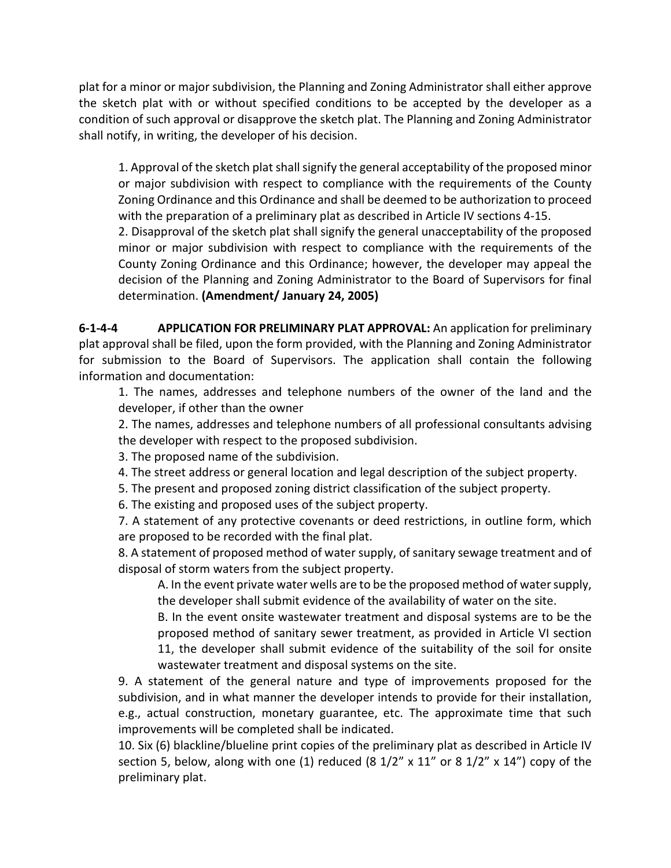plat for a minor or major subdivision, the Planning and Zoning Administrator shall either approve the sketch plat with or without specified conditions to be accepted by the developer as a condition of such approval or disapprove the sketch plat. The Planning and Zoning Administrator shall notify, in writing, the developer of his decision.

1. Approval of the sketch plat shall signify the general acceptability of the proposed minor or major subdivision with respect to compliance with the requirements of the County Zoning Ordinance and this Ordinance and shall be deemed to be authorization to proceed with the preparation of a preliminary plat as described in Article IV sections 4-15.

2. Disapproval of the sketch plat shall signify the general unacceptability of the proposed minor or major subdivision with respect to compliance with the requirements of the County Zoning Ordinance and this Ordinance; however, the developer may appeal the decision of the Planning and Zoning Administrator to the Board of Supervisors for final determination. **(Amendment/ January 24, 2005)**

**6-1-4-4 APPLICATION FOR PRELIMINARY PLAT APPROVAL:** An application for preliminary plat approval shall be filed, upon the form provided, with the Planning and Zoning Administrator for submission to the Board of Supervisors. The application shall contain the following information and documentation:

1. The names, addresses and telephone numbers of the owner of the land and the developer, if other than the owner

2. The names, addresses and telephone numbers of all professional consultants advising the developer with respect to the proposed subdivision.

3. The proposed name of the subdivision.

4. The street address or general location and legal description of the subject property.

5. The present and proposed zoning district classification of the subject property.

6. The existing and proposed uses of the subject property.

7. A statement of any protective covenants or deed restrictions, in outline form, which are proposed to be recorded with the final plat.

8. A statement of proposed method of water supply, of sanitary sewage treatment and of disposal of storm waters from the subject property.

A. In the event private water wells are to be the proposed method of water supply, the developer shall submit evidence of the availability of water on the site.

B. In the event onsite wastewater treatment and disposal systems are to be the proposed method of sanitary sewer treatment, as provided in Article VI section 11, the developer shall submit evidence of the suitability of the soil for onsite wastewater treatment and disposal systems on the site.

9. A statement of the general nature and type of improvements proposed for the subdivision, and in what manner the developer intends to provide for their installation, e.g., actual construction, monetary guarantee, etc. The approximate time that such improvements will be completed shall be indicated.

10. Six (6) blackline/blueline print copies of the preliminary plat as described in Article IV section 5, below, along with one (1) reduced (8  $1/2$ " x  $11$ " or 8  $1/2$ " x  $14$ ") copy of the preliminary plat.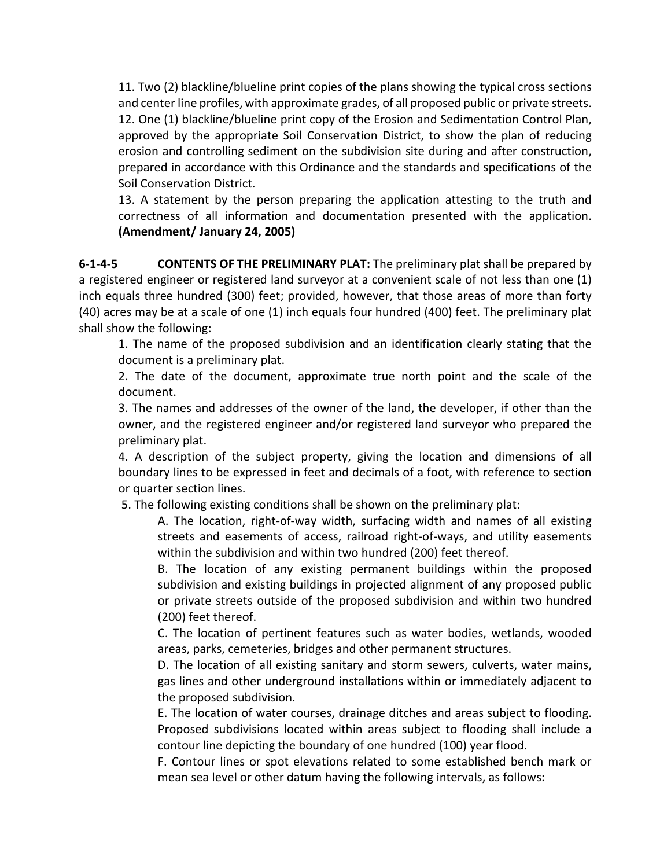11. Two (2) blackline/blueline print copies of the plans showing the typical cross sections and center line profiles, with approximate grades, of all proposed public or private streets. 12. One (1) blackline/blueline print copy of the Erosion and Sedimentation Control Plan, approved by the appropriate Soil Conservation District, to show the plan of reducing erosion and controlling sediment on the subdivision site during and after construction, prepared in accordance with this Ordinance and the standards and specifications of the Soil Conservation District.

13. A statement by the person preparing the application attesting to the truth and correctness of all information and documentation presented with the application. **(Amendment/ January 24, 2005)**

**6-1-4-5 CONTENTS OF THE PRELIMINARY PLAT:** The preliminary plat shall be prepared by a registered engineer or registered land surveyor at a convenient scale of not less than one (1) inch equals three hundred (300) feet; provided, however, that those areas of more than forty (40) acres may be at a scale of one (1) inch equals four hundred (400) feet. The preliminary plat shall show the following:

1. The name of the proposed subdivision and an identification clearly stating that the document is a preliminary plat.

2. The date of the document, approximate true north point and the scale of the document.

3. The names and addresses of the owner of the land, the developer, if other than the owner, and the registered engineer and/or registered land surveyor who prepared the preliminary plat.

4. A description of the subject property, giving the location and dimensions of all boundary lines to be expressed in feet and decimals of a foot, with reference to section or quarter section lines.

5. The following existing conditions shall be shown on the preliminary plat:

A. The location, right-of-way width, surfacing width and names of all existing streets and easements of access, railroad right-of-ways, and utility easements within the subdivision and within two hundred (200) feet thereof.

B. The location of any existing permanent buildings within the proposed subdivision and existing buildings in projected alignment of any proposed public or private streets outside of the proposed subdivision and within two hundred (200) feet thereof.

C. The location of pertinent features such as water bodies, wetlands, wooded areas, parks, cemeteries, bridges and other permanent structures.

D. The location of all existing sanitary and storm sewers, culverts, water mains, gas lines and other underground installations within or immediately adjacent to the proposed subdivision.

E. The location of water courses, drainage ditches and areas subject to flooding. Proposed subdivisions located within areas subject to flooding shall include a contour line depicting the boundary of one hundred (100) year flood.

F. Contour lines or spot elevations related to some established bench mark or mean sea level or other datum having the following intervals, as follows: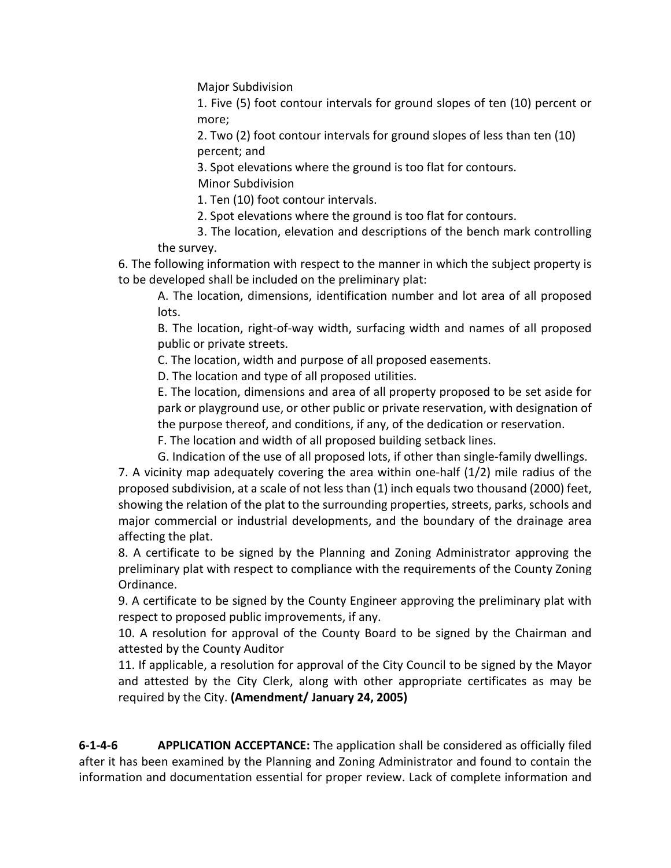Major Subdivision

1. Five (5) foot contour intervals for ground slopes of ten (10) percent or more;

2. Two (2) foot contour intervals for ground slopes of less than ten (10) percent; and

3. Spot elevations where the ground is too flat for contours. Minor Subdivision

1. Ten (10) foot contour intervals.

2. Spot elevations where the ground is too flat for contours.

3. The location, elevation and descriptions of the bench mark controlling the survey.

6. The following information with respect to the manner in which the subject property is to be developed shall be included on the preliminary plat:

A. The location, dimensions, identification number and lot area of all proposed lots.

B. The location, right-of-way width, surfacing width and names of all proposed public or private streets.

C. The location, width and purpose of all proposed easements.

D. The location and type of all proposed utilities.

E. The location, dimensions and area of all property proposed to be set aside for park or playground use, or other public or private reservation, with designation of the purpose thereof, and conditions, if any, of the dedication or reservation.

F. The location and width of all proposed building setback lines.

G. Indication of the use of all proposed lots, if other than single-family dwellings.

7. A vicinity map adequately covering the area within one-half (1/2) mile radius of the proposed subdivision, at a scale of not less than (1) inch equals two thousand (2000) feet, showing the relation of the plat to the surrounding properties, streets, parks, schools and major commercial or industrial developments, and the boundary of the drainage area affecting the plat.

8. A certificate to be signed by the Planning and Zoning Administrator approving the preliminary plat with respect to compliance with the requirements of the County Zoning Ordinance.

9. A certificate to be signed by the County Engineer approving the preliminary plat with respect to proposed public improvements, if any.

10. A resolution for approval of the County Board to be signed by the Chairman and attested by the County Auditor

11. If applicable, a resolution for approval of the City Council to be signed by the Mayor and attested by the City Clerk, along with other appropriate certificates as may be required by the City. **(Amendment/ January 24, 2005)**

**6-1-4-6 APPLICATION ACCEPTANCE:** The application shall be considered as officially filed after it has been examined by the Planning and Zoning Administrator and found to contain the information and documentation essential for proper review. Lack of complete information and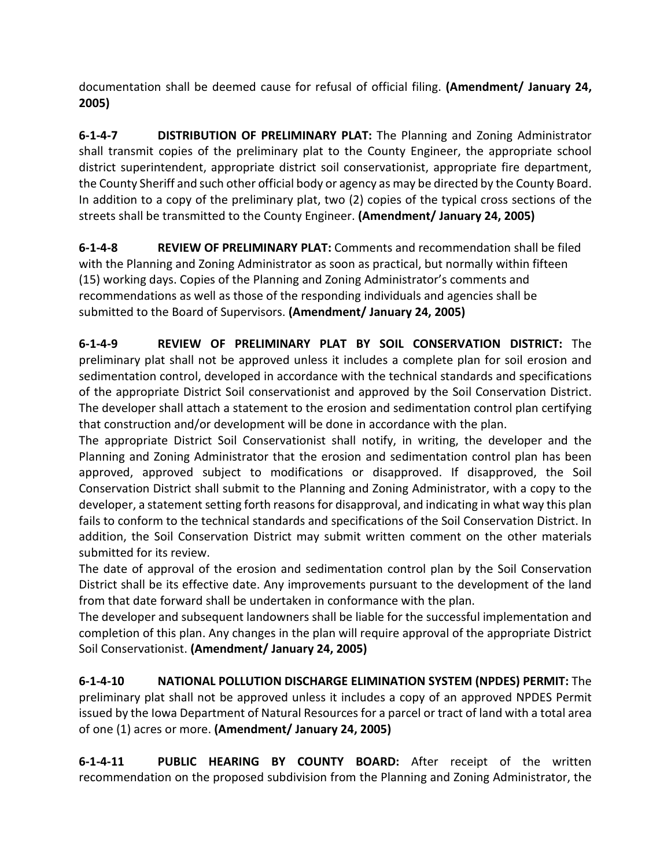documentation shall be deemed cause for refusal of official filing. **(Amendment/ January 24, 2005)**

**6-1-4-7 DISTRIBUTION OF PRELIMINARY PLAT:** The Planning and Zoning Administrator shall transmit copies of the preliminary plat to the County Engineer, the appropriate school district superintendent, appropriate district soil conservationist, appropriate fire department, the County Sheriff and such other official body or agency as may be directed by the County Board. In addition to a copy of the preliminary plat, two (2) copies of the typical cross sections of the streets shall be transmitted to the County Engineer. **(Amendment/ January 24, 2005)**

**6-1-4-8 REVIEW OF PRELIMINARY PLAT:** Comments and recommendation shall be filed with the Planning and Zoning Administrator as soon as practical, but normally within fifteen (15) working days. Copies of the Planning and Zoning Administrator's comments and recommendations as well as those of the responding individuals and agencies shall be submitted to the Board of Supervisors. **(Amendment/ January 24, 2005)**

**6-1-4-9 REVIEW OF PRELIMINARY PLAT BY SOIL CONSERVATION DISTRICT:** The preliminary plat shall not be approved unless it includes a complete plan for soil erosion and sedimentation control, developed in accordance with the technical standards and specifications of the appropriate District Soil conservationist and approved by the Soil Conservation District. The developer shall attach a statement to the erosion and sedimentation control plan certifying that construction and/or development will be done in accordance with the plan.

The appropriate District Soil Conservationist shall notify, in writing, the developer and the Planning and Zoning Administrator that the erosion and sedimentation control plan has been approved, approved subject to modifications or disapproved. If disapproved, the Soil Conservation District shall submit to the Planning and Zoning Administrator, with a copy to the developer, a statement setting forth reasons for disapproval, and indicating in what way this plan fails to conform to the technical standards and specifications of the Soil Conservation District. In addition, the Soil Conservation District may submit written comment on the other materials submitted for its review.

The date of approval of the erosion and sedimentation control plan by the Soil Conservation District shall be its effective date. Any improvements pursuant to the development of the land from that date forward shall be undertaken in conformance with the plan.

The developer and subsequent landowners shall be liable for the successful implementation and completion of this plan. Any changes in the plan will require approval of the appropriate District Soil Conservationist. **(Amendment/ January 24, 2005)**

**6-1-4-10 NATIONAL POLLUTION DISCHARGE ELIMINATION SYSTEM (NPDES) PERMIT:** The preliminary plat shall not be approved unless it includes a copy of an approved NPDES Permit issued by the Iowa Department of Natural Resources for a parcel or tract of land with a total area of one (1) acres or more. **(Amendment/ January 24, 2005)**

**6-1-4-11 PUBLIC HEARING BY COUNTY BOARD:** After receipt of the written recommendation on the proposed subdivision from the Planning and Zoning Administrator, the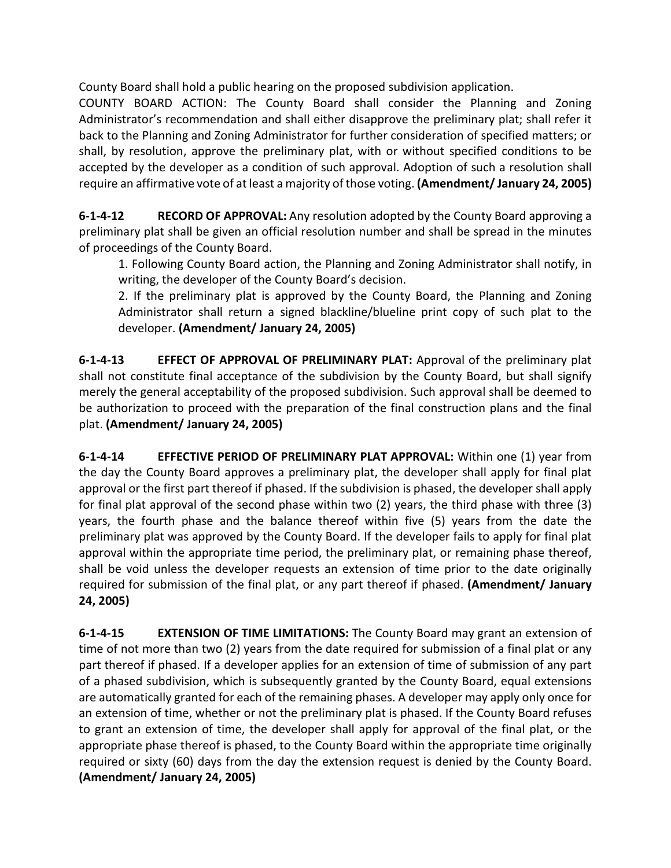County Board shall hold a public hearing on the proposed subdivision application.

COUNTY BOARD ACTION: The County Board shall consider the Planning and Zoning Administrator's recommendation and shall either disapprove the preliminary plat; shall refer it back to the Planning and Zoning Administrator for further consideration of specified matters; or shall, by resolution, approve the preliminary plat, with or without specified conditions to be accepted by the developer as a condition of such approval. Adoption of such a resolution shall require an affirmative vote of at least a majority of those voting. **(Amendment/ January 24, 2005)**

**6-1-4-12 RECORD OF APPROVAL:** Any resolution adopted by the County Board approving a preliminary plat shall be given an official resolution number and shall be spread in the minutes of proceedings of the County Board.

1. Following County Board action, the Planning and Zoning Administrator shall notify, in writing, the developer of the County Board's decision.

2. If the preliminary plat is approved by the County Board, the Planning and Zoning Administrator shall return a signed blackline/blueline print copy of such plat to the developer. **(Amendment/ January 24, 2005)**

**6-1-4-13 EFFECT OF APPROVAL OF PRELIMINARY PLAT:** Approval of the preliminary plat shall not constitute final acceptance of the subdivision by the County Board, but shall signify merely the general acceptability of the proposed subdivision. Such approval shall be deemed to be authorization to proceed with the preparation of the final construction plans and the final plat. **(Amendment/ January 24, 2005)**

**6-1-4-14 EFFECTIVE PERIOD OF PRELIMINARY PLAT APPROVAL:** Within one (1) year from the day the County Board approves a preliminary plat, the developer shall apply for final plat approval or the first part thereof if phased. If the subdivision is phased, the developer shall apply for final plat approval of the second phase within two (2) years, the third phase with three (3) years, the fourth phase and the balance thereof within five (5) years from the date the preliminary plat was approved by the County Board. If the developer fails to apply for final plat approval within the appropriate time period, the preliminary plat, or remaining phase thereof, shall be void unless the developer requests an extension of time prior to the date originally required for submission of the final plat, or any part thereof if phased. **(Amendment/ January 24, 2005)**

**6-1-4-15 EXTENSION OF TIME LIMITATIONS:** The County Board may grant an extension of time of not more than two (2) years from the date required for submission of a final plat or any part thereof if phased. If a developer applies for an extension of time of submission of any part of a phased subdivision, which is subsequently granted by the County Board, equal extensions are automatically granted for each of the remaining phases. A developer may apply only once for an extension of time, whether or not the preliminary plat is phased. If the County Board refuses to grant an extension of time, the developer shall apply for approval of the final plat, or the appropriate phase thereof is phased, to the County Board within the appropriate time originally required or sixty (60) days from the day the extension request is denied by the County Board. **(Amendment/ January 24, 2005)**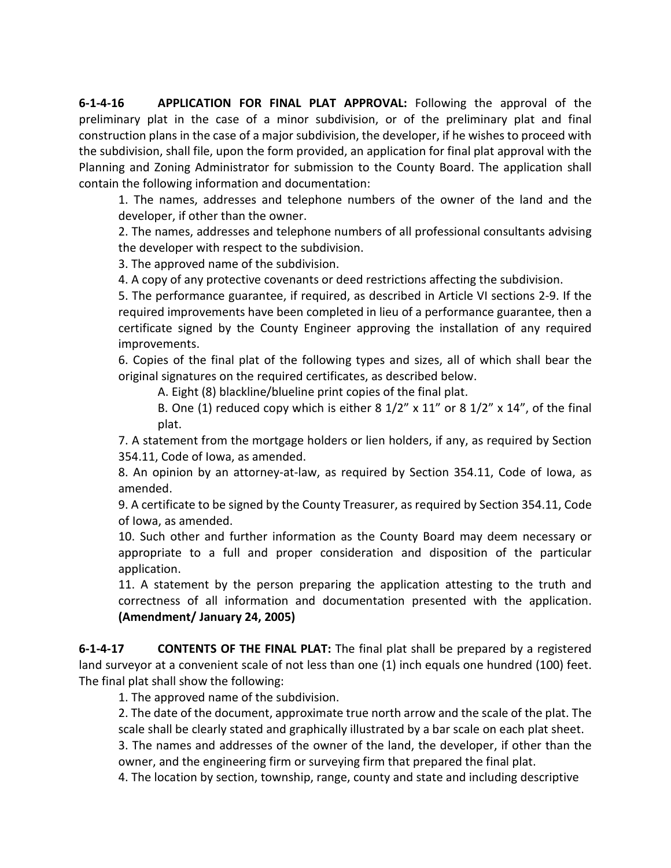**6-1-4-16 APPLICATION FOR FINAL PLAT APPROVAL:** Following the approval of the preliminary plat in the case of a minor subdivision, or of the preliminary plat and final construction plans in the case of a major subdivision, the developer, if he wishes to proceed with the subdivision, shall file, upon the form provided, an application for final plat approval with the Planning and Zoning Administrator for submission to the County Board. The application shall contain the following information and documentation:

1. The names, addresses and telephone numbers of the owner of the land and the developer, if other than the owner.

2. The names, addresses and telephone numbers of all professional consultants advising the developer with respect to the subdivision.

3. The approved name of the subdivision.

4. A copy of any protective covenants or deed restrictions affecting the subdivision.

5. The performance guarantee, if required, as described in Article VI sections 2-9. If the required improvements have been completed in lieu of a performance guarantee, then a certificate signed by the County Engineer approving the installation of any required improvements.

6. Copies of the final plat of the following types and sizes, all of which shall bear the original signatures on the required certificates, as described below.

A. Eight (8) blackline/blueline print copies of the final plat.

B. One (1) reduced copy which is either 8  $1/2$ " x  $11$ " or 8  $1/2$ " x  $14$ ", of the final plat.

7. A statement from the mortgage holders or lien holders, if any, as required by Section 354.11, Code of Iowa, as amended.

8. An opinion by an attorney-at-law, as required by Section 354.11, Code of Iowa, as amended.

9. A certificate to be signed by the County Treasurer, as required by Section 354.11, Code of Iowa, as amended.

10. Such other and further information as the County Board may deem necessary or appropriate to a full and proper consideration and disposition of the particular application.

11. A statement by the person preparing the application attesting to the truth and correctness of all information and documentation presented with the application. **(Amendment/ January 24, 2005)**

**6-1-4-17 CONTENTS OF THE FINAL PLAT:** The final plat shall be prepared by a registered land surveyor at a convenient scale of not less than one (1) inch equals one hundred (100) feet. The final plat shall show the following:

1. The approved name of the subdivision.

2. The date of the document, approximate true north arrow and the scale of the plat. The scale shall be clearly stated and graphically illustrated by a bar scale on each plat sheet.

3. The names and addresses of the owner of the land, the developer, if other than the owner, and the engineering firm or surveying firm that prepared the final plat.

4. The location by section, township, range, county and state and including descriptive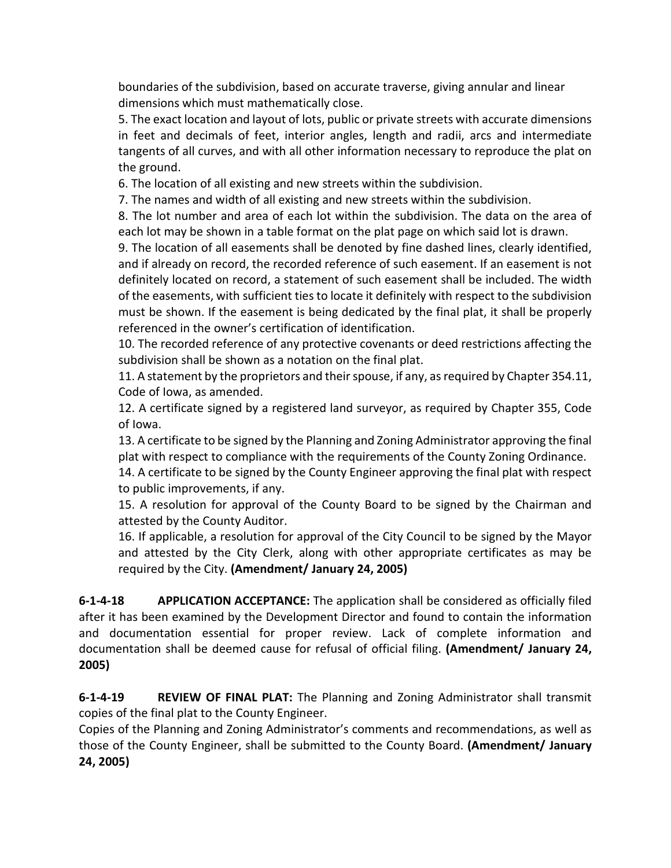boundaries of the subdivision, based on accurate traverse, giving annular and linear dimensions which must mathematically close.

5. The exact location and layout of lots, public or private streets with accurate dimensions in feet and decimals of feet, interior angles, length and radii, arcs and intermediate tangents of all curves, and with all other information necessary to reproduce the plat on the ground.

6. The location of all existing and new streets within the subdivision.

7. The names and width of all existing and new streets within the subdivision.

8. The lot number and area of each lot within the subdivision. The data on the area of each lot may be shown in a table format on the plat page on which said lot is drawn.

9. The location of all easements shall be denoted by fine dashed lines, clearly identified, and if already on record, the recorded reference of such easement. If an easement is not definitely located on record, a statement of such easement shall be included. The width of the easements, with sufficient ties to locate it definitely with respect to the subdivision must be shown. If the easement is being dedicated by the final plat, it shall be properly referenced in the owner's certification of identification.

10. The recorded reference of any protective covenants or deed restrictions affecting the subdivision shall be shown as a notation on the final plat.

11. A statement by the proprietors and their spouse, if any, as required by Chapter 354.11, Code of Iowa, as amended.

12. A certificate signed by a registered land surveyor, as required by Chapter 355, Code of Iowa.

13. A certificate to be signed by the Planning and Zoning Administrator approving the final plat with respect to compliance with the requirements of the County Zoning Ordinance.

14. A certificate to be signed by the County Engineer approving the final plat with respect to public improvements, if any.

15. A resolution for approval of the County Board to be signed by the Chairman and attested by the County Auditor.

16. If applicable, a resolution for approval of the City Council to be signed by the Mayor and attested by the City Clerk, along with other appropriate certificates as may be required by the City. **(Amendment/ January 24, 2005)**

**6-1-4-18 APPLICATION ACCEPTANCE:** The application shall be considered as officially filed after it has been examined by the Development Director and found to contain the information and documentation essential for proper review. Lack of complete information and documentation shall be deemed cause for refusal of official filing. **(Amendment/ January 24, 2005)**

**6-1-4-19 REVIEW OF FINAL PLAT:** The Planning and Zoning Administrator shall transmit copies of the final plat to the County Engineer.

Copies of the Planning and Zoning Administrator's comments and recommendations, as well as those of the County Engineer, shall be submitted to the County Board. **(Amendment/ January 24, 2005)**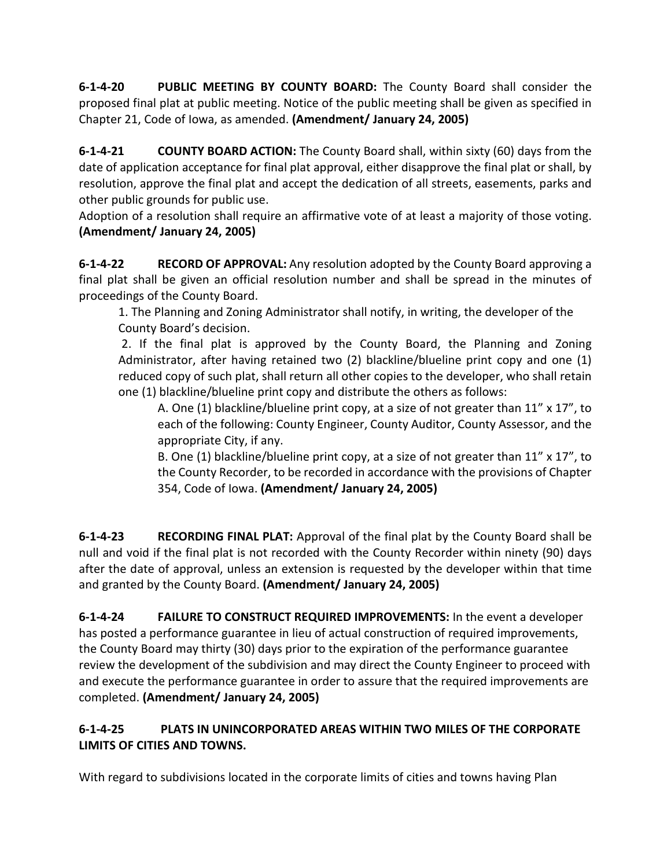**6-1-4-20 PUBLIC MEETING BY COUNTY BOARD:** The County Board shall consider the proposed final plat at public meeting. Notice of the public meeting shall be given as specified in Chapter 21, Code of Iowa, as amended. **(Amendment/ January 24, 2005)**

**6-1-4-21 COUNTY BOARD ACTION:** The County Board shall, within sixty (60) days from the date of application acceptance for final plat approval, either disapprove the final plat or shall, by resolution, approve the final plat and accept the dedication of all streets, easements, parks and other public grounds for public use.

Adoption of a resolution shall require an affirmative vote of at least a majority of those voting. **(Amendment/ January 24, 2005)**

**6-1-4-22 RECORD OF APPROVAL:** Any resolution adopted by the County Board approving a final plat shall be given an official resolution number and shall be spread in the minutes of proceedings of the County Board.

1. The Planning and Zoning Administrator shall notify, in writing, the developer of the County Board's decision.

2. If the final plat is approved by the County Board, the Planning and Zoning Administrator, after having retained two (2) blackline/blueline print copy and one (1) reduced copy of such plat, shall return all other copies to the developer, who shall retain one (1) blackline/blueline print copy and distribute the others as follows:

A. One (1) blackline/blueline print copy, at a size of not greater than  $11'' \times 17''$ , to each of the following: County Engineer, County Auditor, County Assessor, and the appropriate City, if any.

B. One (1) blackline/blueline print copy, at a size of not greater than  $11'' \times 17''$ , to the County Recorder, to be recorded in accordance with the provisions of Chapter 354, Code of Iowa. **(Amendment/ January 24, 2005)**

**6-1-4-23 RECORDING FINAL PLAT:** Approval of the final plat by the County Board shall be null and void if the final plat is not recorded with the County Recorder within ninety (90) days after the date of approval, unless an extension is requested by the developer within that time and granted by the County Board. **(Amendment/ January 24, 2005)**

**6-1-4-24 FAILURE TO CONSTRUCT REQUIRED IMPROVEMENTS:** In the event a developer has posted a performance guarantee in lieu of actual construction of required improvements, the County Board may thirty (30) days prior to the expiration of the performance guarantee review the development of the subdivision and may direct the County Engineer to proceed with and execute the performance guarantee in order to assure that the required improvements are completed. **(Amendment/ January 24, 2005)**

# **6-1-4-25 PLATS IN UNINCORPORATED AREAS WITHIN TWO MILES OF THE CORPORATE LIMITS OF CITIES AND TOWNS.**

With regard to subdivisions located in the corporate limits of cities and towns having Plan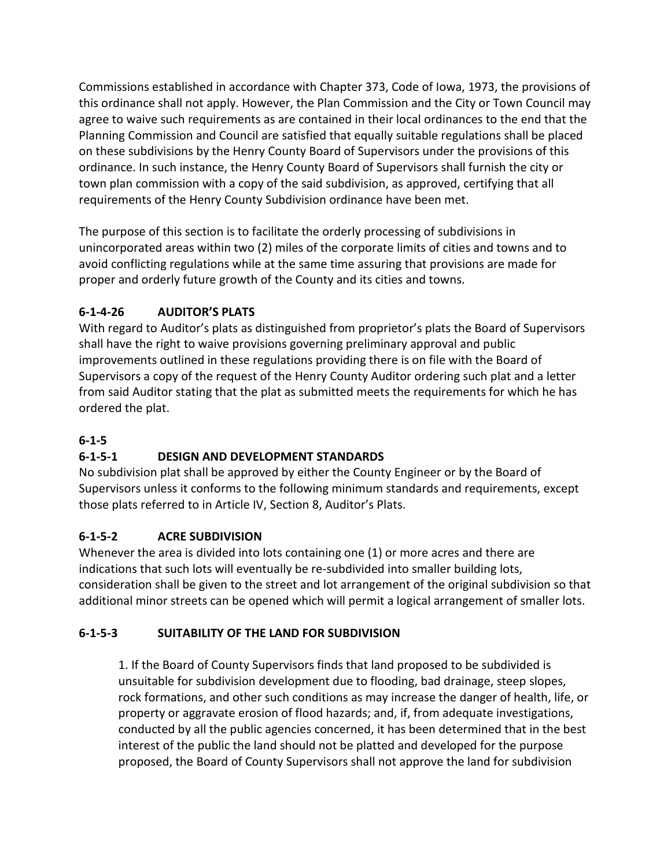Commissions established in accordance with Chapter 373, Code of Iowa, 1973, the provisions of this ordinance shall not apply. However, the Plan Commission and the City or Town Council may agree to waive such requirements as are contained in their local ordinances to the end that the Planning Commission and Council are satisfied that equally suitable regulations shall be placed on these subdivisions by the Henry County Board of Supervisors under the provisions of this ordinance. In such instance, the Henry County Board of Supervisors shall furnish the city or town plan commission with a copy of the said subdivision, as approved, certifying that all requirements of the Henry County Subdivision ordinance have been met.

The purpose of this section is to facilitate the orderly processing of subdivisions in unincorporated areas within two (2) miles of the corporate limits of cities and towns and to avoid conflicting regulations while at the same time assuring that provisions are made for proper and orderly future growth of the County and its cities and towns.

# **6-1-4-26 AUDITOR'S PLATS**

With regard to Auditor's plats as distinguished from proprietor's plats the Board of Supervisors shall have the right to waive provisions governing preliminary approval and public improvements outlined in these regulations providing there is on file with the Board of Supervisors a copy of the request of the Henry County Auditor ordering such plat and a letter from said Auditor stating that the plat as submitted meets the requirements for which he has ordered the plat.

# **6-1-5**

# **6-1-5-1 DESIGN AND DEVELOPMENT STANDARDS**

No subdivision plat shall be approved by either the County Engineer or by the Board of Supervisors unless it conforms to the following minimum standards and requirements, except those plats referred to in Article IV, Section 8, Auditor's Plats.

# **6-1-5-2 ACRE SUBDIVISION**

Whenever the area is divided into lots containing one (1) or more acres and there are indications that such lots will eventually be re-subdivided into smaller building lots, consideration shall be given to the street and lot arrangement of the original subdivision so that additional minor streets can be opened which will permit a logical arrangement of smaller lots.

# **6-1-5-3 SUITABILITY OF THE LAND FOR SUBDIVISION**

1. If the Board of County Supervisors finds that land proposed to be subdivided is unsuitable for subdivision development due to flooding, bad drainage, steep slopes, rock formations, and other such conditions as may increase the danger of health, life, or property or aggravate erosion of flood hazards; and, if, from adequate investigations, conducted by all the public agencies concerned, it has been determined that in the best interest of the public the land should not be platted and developed for the purpose proposed, the Board of County Supervisors shall not approve the land for subdivision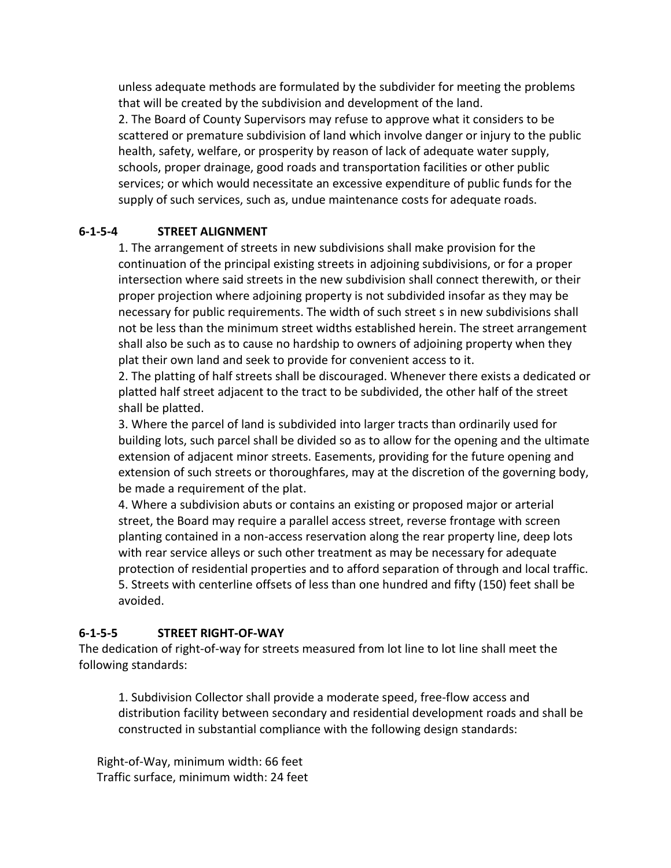unless adequate methods are formulated by the subdivider for meeting the problems that will be created by the subdivision and development of the land.

2. The Board of County Supervisors may refuse to approve what it considers to be scattered or premature subdivision of land which involve danger or injury to the public health, safety, welfare, or prosperity by reason of lack of adequate water supply, schools, proper drainage, good roads and transportation facilities or other public services; or which would necessitate an excessive expenditure of public funds for the supply of such services, such as, undue maintenance costs for adequate roads.

#### **6-1-5-4 STREET ALIGNMENT**

1. The arrangement of streets in new subdivisions shall make provision for the continuation of the principal existing streets in adjoining subdivisions, or for a proper intersection where said streets in the new subdivision shall connect therewith, or their proper projection where adjoining property is not subdivided insofar as they may be necessary for public requirements. The width of such street s in new subdivisions shall not be less than the minimum street widths established herein. The street arrangement shall also be such as to cause no hardship to owners of adjoining property when they plat their own land and seek to provide for convenient access to it.

2. The platting of half streets shall be discouraged. Whenever there exists a dedicated or platted half street adjacent to the tract to be subdivided, the other half of the street shall be platted.

3. Where the parcel of land is subdivided into larger tracts than ordinarily used for building lots, such parcel shall be divided so as to allow for the opening and the ultimate extension of adjacent minor streets. Easements, providing for the future opening and extension of such streets or thoroughfares, may at the discretion of the governing body, be made a requirement of the plat.

4. Where a subdivision abuts or contains an existing or proposed major or arterial street, the Board may require a parallel access street, reverse frontage with screen planting contained in a non-access reservation along the rear property line, deep lots with rear service alleys or such other treatment as may be necessary for adequate protection of residential properties and to afford separation of through and local traffic. 5. Streets with centerline offsets of less than one hundred and fifty (150) feet shall be avoided.

#### **6-1-5-5 STREET RIGHT-OF-WAY**

The dedication of right-of-way for streets measured from lot line to lot line shall meet the following standards:

1. Subdivision Collector shall provide a moderate speed, free-flow access and distribution facility between secondary and residential development roads and shall be constructed in substantial compliance with the following design standards:

 Right-of-Way, minimum width: 66 feet Traffic surface, minimum width: 24 feet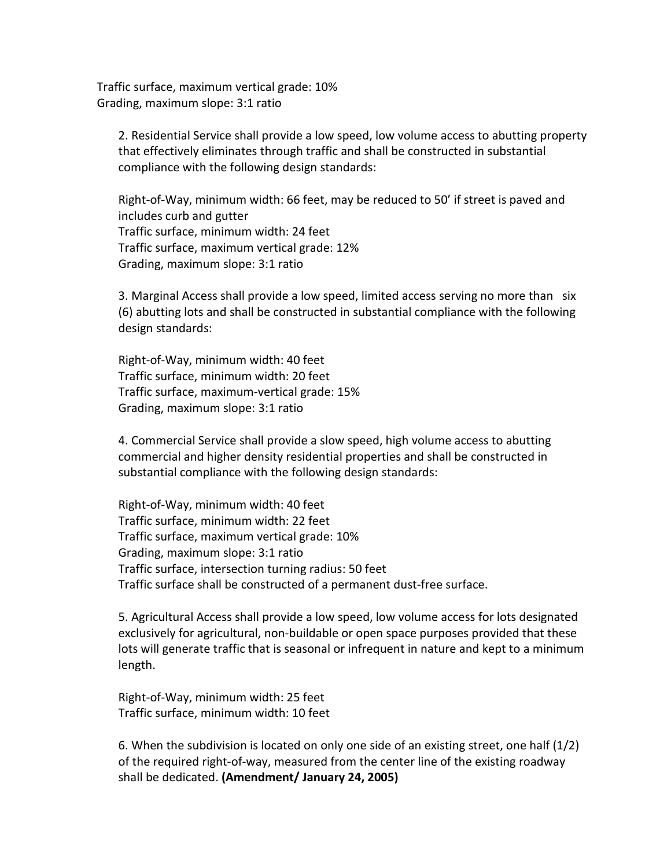Traffic surface, maximum vertical grade: 10% Grading, maximum slope: 3:1 ratio

2. Residential Service shall provide a low speed, low volume access to abutting property that effectively eliminates through traffic and shall be constructed in substantial compliance with the following design standards:

Right-of-Way, minimum width: 66 feet, may be reduced to 50' if street is paved and includes curb and gutter Traffic surface, minimum width: 24 feet Traffic surface, maximum vertical grade: 12% Grading, maximum slope: 3:1 ratio

3. Marginal Access shall provide a low speed, limited access serving no more than six (6) abutting lots and shall be constructed in substantial compliance with the following design standards:

Right-of-Way, minimum width: 40 feet Traffic surface, minimum width: 20 feet Traffic surface, maximum-vertical grade: 15% Grading, maximum slope: 3:1 ratio

4. Commercial Service shall provide a slow speed, high volume access to abutting commercial and higher density residential properties and shall be constructed in substantial compliance with the following design standards:

Right-of-Way, minimum width: 40 feet Traffic surface, minimum width: 22 feet Traffic surface, maximum vertical grade: 10% Grading, maximum slope: 3:1 ratio Traffic surface, intersection turning radius: 50 feet Traffic surface shall be constructed of a permanent dust-free surface.

5. Agricultural Access shall provide a low speed, low volume access for lots designated exclusively for agricultural, non-buildable or open space purposes provided that these lots will generate traffic that is seasonal or infrequent in nature and kept to a minimum length.

Right-of-Way, minimum width: 25 feet Traffic surface, minimum width: 10 feet

6. When the subdivision is located on only one side of an existing street, one half (1/2) of the required right-of-way, measured from the center line of the existing roadway shall be dedicated. **(Amendment/ January 24, 2005)**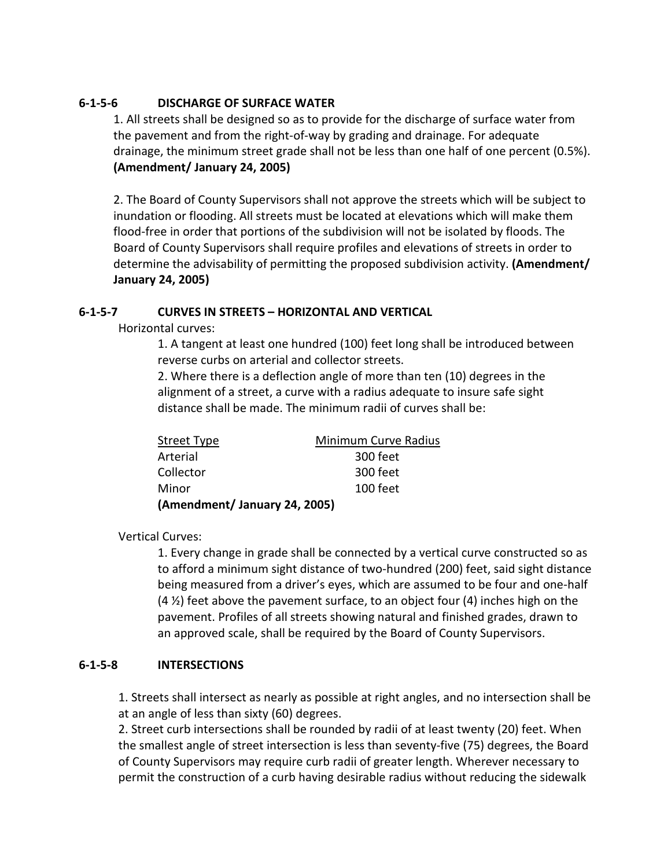#### **6-1-5-6 DISCHARGE OF SURFACE WATER**

1. All streets shall be designed so as to provide for the discharge of surface water from the pavement and from the right-of-way by grading and drainage. For adequate drainage, the minimum street grade shall not be less than one half of one percent (0.5%). **(Amendment/ January 24, 2005)**

2. The Board of County Supervisors shall not approve the streets which will be subject to inundation or flooding. All streets must be located at elevations which will make them flood-free in order that portions of the subdivision will not be isolated by floods. The Board of County Supervisors shall require profiles and elevations of streets in order to determine the advisability of permitting the proposed subdivision activity. **(Amendment/ January 24, 2005)**

#### **6-1-5-7 CURVES IN STREETS – HORIZONTAL AND VERTICAL**

Horizontal curves:

1. A tangent at least one hundred (100) feet long shall be introduced between reverse curbs on arterial and collector streets.

2. Where there is a deflection angle of more than ten (10) degrees in the alignment of a street, a curve with a radius adequate to insure safe sight distance shall be made. The minimum radii of curves shall be:

| Street Type                  | <b>Minimum Curve Radius</b> |
|------------------------------|-----------------------------|
| Arterial                     | 300 feet                    |
| Collector                    | 300 feet                    |
| Minor                        | $100$ feet                  |
| (Amendment/January 24, 2005) |                             |

Vertical Curves:

1. Every change in grade shall be connected by a vertical curve constructed so as to afford a minimum sight distance of two-hundred (200) feet, said sight distance being measured from a driver's eyes, which are assumed to be four and one-half  $(4 \frac{1}{2})$  feet above the pavement surface, to an object four  $(4)$  inches high on the pavement. Profiles of all streets showing natural and finished grades, drawn to an approved scale, shall be required by the Board of County Supervisors.

#### **6-1-5-8 INTERSECTIONS**

1. Streets shall intersect as nearly as possible at right angles, and no intersection shall be at an angle of less than sixty (60) degrees.

2. Street curb intersections shall be rounded by radii of at least twenty (20) feet. When the smallest angle of street intersection is less than seventy-five (75) degrees, the Board of County Supervisors may require curb radii of greater length. Wherever necessary to permit the construction of a curb having desirable radius without reducing the sidewalk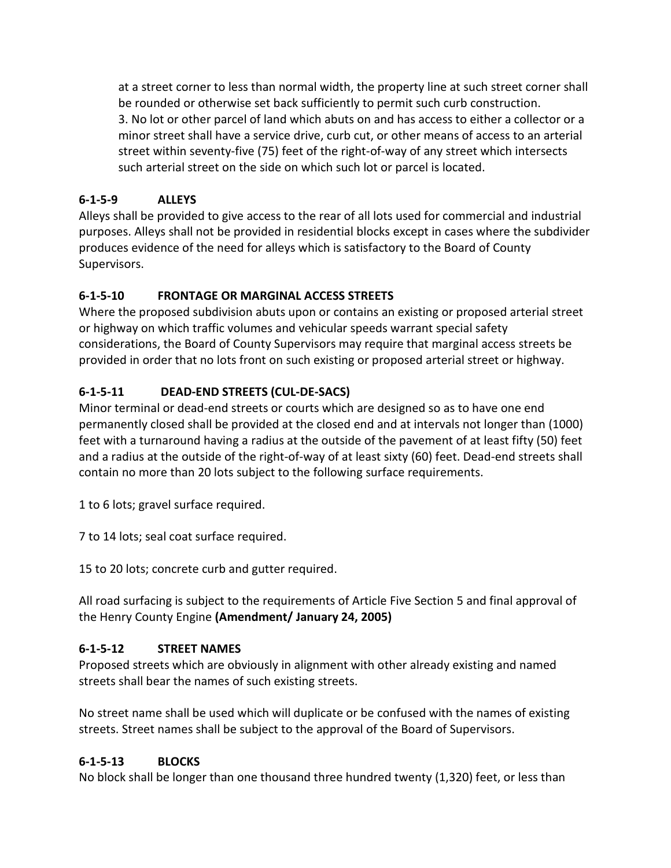at a street corner to less than normal width, the property line at such street corner shall be rounded or otherwise set back sufficiently to permit such curb construction. 3. No lot or other parcel of land which abuts on and has access to either a collector or a minor street shall have a service drive, curb cut, or other means of access to an arterial street within seventy-five (75) feet of the right-of-way of any street which intersects such arterial street on the side on which such lot or parcel is located.

# **6-1-5-9 ALLEYS**

Alleys shall be provided to give access to the rear of all lots used for commercial and industrial purposes. Alleys shall not be provided in residential blocks except in cases where the subdivider produces evidence of the need for alleys which is satisfactory to the Board of County Supervisors.

# **6-1-5-10 FRONTAGE OR MARGINAL ACCESS STREETS**

Where the proposed subdivision abuts upon or contains an existing or proposed arterial street or highway on which traffic volumes and vehicular speeds warrant special safety considerations, the Board of County Supervisors may require that marginal access streets be provided in order that no lots front on such existing or proposed arterial street or highway.

# **6-1-5-11 DEAD-END STREETS (CUL-DE-SACS)**

Minor terminal or dead-end streets or courts which are designed so as to have one end permanently closed shall be provided at the closed end and at intervals not longer than (1000) feet with a turnaround having a radius at the outside of the pavement of at least fifty (50) feet and a radius at the outside of the right-of-way of at least sixty (60) feet. Dead-end streets shall contain no more than 20 lots subject to the following surface requirements.

1 to 6 lots; gravel surface required.

7 to 14 lots; seal coat surface required.

15 to 20 lots; concrete curb and gutter required.

All road surfacing is subject to the requirements of Article Five Section 5 and final approval of the Henry County Engine **(Amendment/ January 24, 2005)**

# **6-1-5-12 STREET NAMES**

Proposed streets which are obviously in alignment with other already existing and named streets shall bear the names of such existing streets.

No street name shall be used which will duplicate or be confused with the names of existing streets. Street names shall be subject to the approval of the Board of Supervisors.

#### **6-1-5-13 BLOCKS**

No block shall be longer than one thousand three hundred twenty (1,320) feet, or less than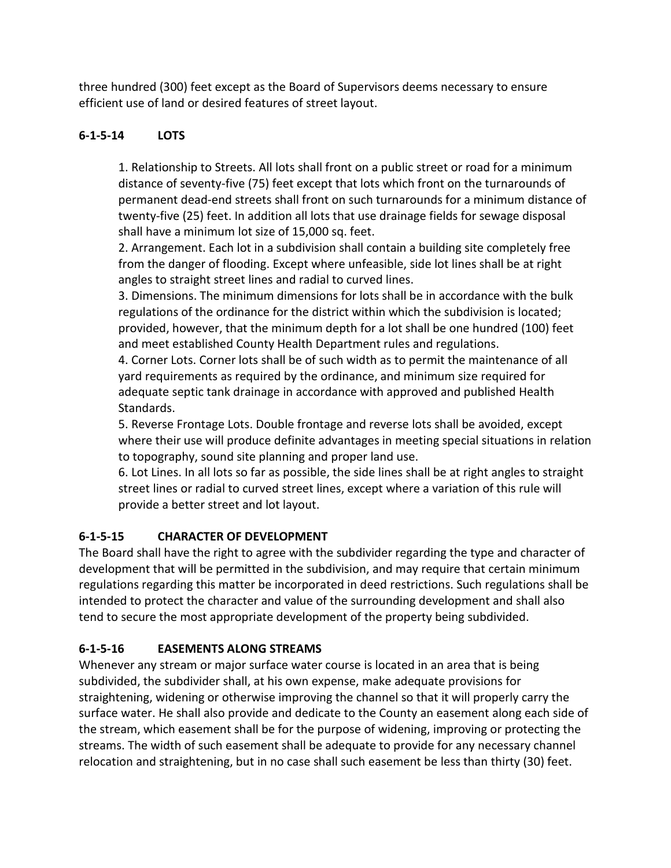three hundred (300) feet except as the Board of Supervisors deems necessary to ensure efficient use of land or desired features of street layout.

### **6-1-5-14 LOTS**

1. Relationship to Streets. All lots shall front on a public street or road for a minimum distance of seventy-five (75) feet except that lots which front on the turnarounds of permanent dead-end streets shall front on such turnarounds for a minimum distance of twenty-five (25) feet. In addition all lots that use drainage fields for sewage disposal shall have a minimum lot size of 15,000 sq. feet.

2. Arrangement. Each lot in a subdivision shall contain a building site completely free from the danger of flooding. Except where unfeasible, side lot lines shall be at right angles to straight street lines and radial to curved lines.

3. Dimensions. The minimum dimensions for lots shall be in accordance with the bulk regulations of the ordinance for the district within which the subdivision is located; provided, however, that the minimum depth for a lot shall be one hundred (100) feet and meet established County Health Department rules and regulations.

4. Corner Lots. Corner lots shall be of such width as to permit the maintenance of all yard requirements as required by the ordinance, and minimum size required for adequate septic tank drainage in accordance with approved and published Health Standards.

5. Reverse Frontage Lots. Double frontage and reverse lots shall be avoided, except where their use will produce definite advantages in meeting special situations in relation to topography, sound site planning and proper land use.

6. Lot Lines. In all lots so far as possible, the side lines shall be at right angles to straight street lines or radial to curved street lines, except where a variation of this rule will provide a better street and lot layout.

# **6-1-5-15 CHARACTER OF DEVELOPMENT**

The Board shall have the right to agree with the subdivider regarding the type and character of development that will be permitted in the subdivision, and may require that certain minimum regulations regarding this matter be incorporated in deed restrictions. Such regulations shall be intended to protect the character and value of the surrounding development and shall also tend to secure the most appropriate development of the property being subdivided.

# **6-1-5-16 EASEMENTS ALONG STREAMS**

Whenever any stream or major surface water course is located in an area that is being subdivided, the subdivider shall, at his own expense, make adequate provisions for straightening, widening or otherwise improving the channel so that it will properly carry the surface water. He shall also provide and dedicate to the County an easement along each side of the stream, which easement shall be for the purpose of widening, improving or protecting the streams. The width of such easement shall be adequate to provide for any necessary channel relocation and straightening, but in no case shall such easement be less than thirty (30) feet.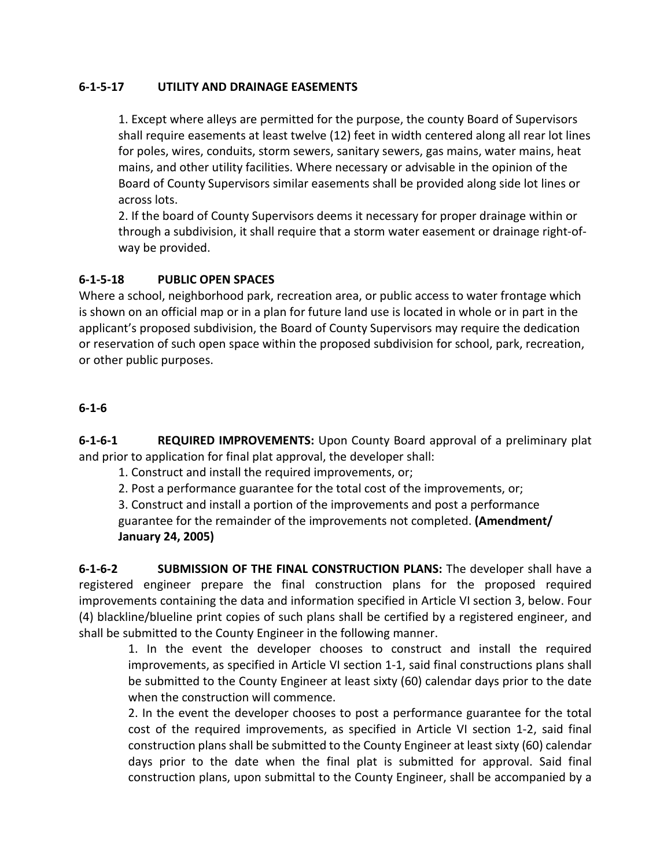#### **6-1-5-17 UTILITY AND DRAINAGE EASEMENTS**

1. Except where alleys are permitted for the purpose, the county Board of Supervisors shall require easements at least twelve (12) feet in width centered along all rear lot lines for poles, wires, conduits, storm sewers, sanitary sewers, gas mains, water mains, heat mains, and other utility facilities. Where necessary or advisable in the opinion of the Board of County Supervisors similar easements shall be provided along side lot lines or across lots.

2. If the board of County Supervisors deems it necessary for proper drainage within or through a subdivision, it shall require that a storm water easement or drainage right-ofway be provided.

#### **6-1-5-18 PUBLIC OPEN SPACES**

Where a school, neighborhood park, recreation area, or public access to water frontage which is shown on an official map or in a plan for future land use is located in whole or in part in the applicant's proposed subdivision, the Board of County Supervisors may require the dedication or reservation of such open space within the proposed subdivision for school, park, recreation, or other public purposes.

#### **6-1-6**

**6-1-6-1 REQUIRED IMPROVEMENTS:** Upon County Board approval of a preliminary plat and prior to application for final plat approval, the developer shall:

1. Construct and install the required improvements, or;

2. Post a performance guarantee for the total cost of the improvements, or;

3. Construct and install a portion of the improvements and post a performance

guarantee for the remainder of the improvements not completed. **(Amendment/ January 24, 2005)**

**6-1-6-2 SUBMISSION OF THE FINAL CONSTRUCTION PLANS:** The developer shall have a registered engineer prepare the final construction plans for the proposed required improvements containing the data and information specified in Article VI section 3, below. Four (4) blackline/blueline print copies of such plans shall be certified by a registered engineer, and shall be submitted to the County Engineer in the following manner.

1. In the event the developer chooses to construct and install the required improvements, as specified in Article VI section 1-1, said final constructions plans shall be submitted to the County Engineer at least sixty (60) calendar days prior to the date when the construction will commence.

 2. In the event the developer chooses to post a performance guarantee for the total cost of the required improvements, as specified in Article VI section 1-2, said final construction plans shall be submitted to the County Engineer at least sixty (60) calendar days prior to the date when the final plat is submitted for approval. Said final construction plans, upon submittal to the County Engineer, shall be accompanied by a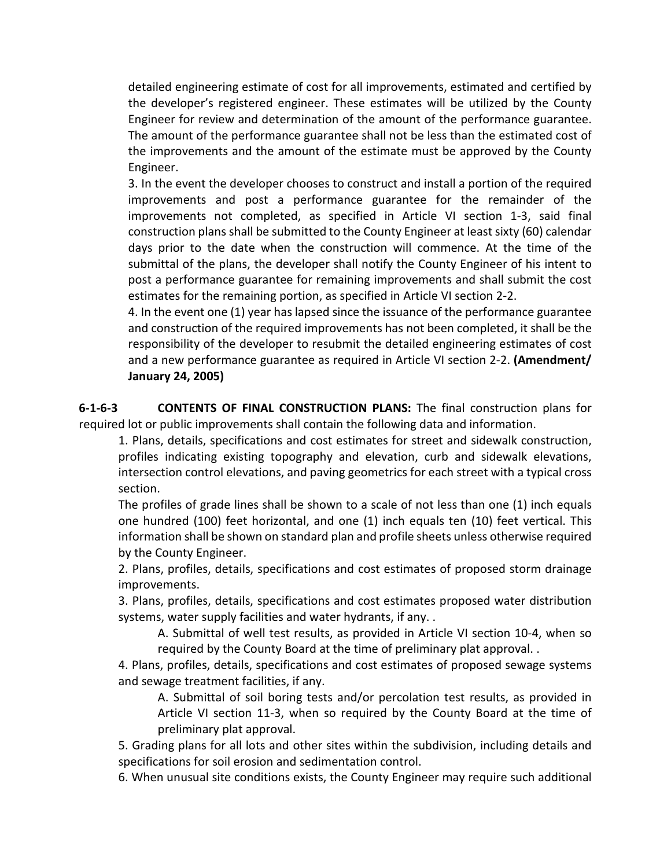detailed engineering estimate of cost for all improvements, estimated and certified by the developer's registered engineer. These estimates will be utilized by the County Engineer for review and determination of the amount of the performance guarantee. The amount of the performance guarantee shall not be less than the estimated cost of the improvements and the amount of the estimate must be approved by the County Engineer.

 3. In the event the developer chooses to construct and install a portion of the required improvements and post a performance guarantee for the remainder of the improvements not completed, as specified in Article VI section 1-3, said final construction plans shall be submitted to the County Engineer at least sixty (60) calendar days prior to the date when the construction will commence. At the time of the submittal of the plans, the developer shall notify the County Engineer of his intent to post a performance guarantee for remaining improvements and shall submit the cost estimates for the remaining portion, as specified in Article VI section 2-2.

 4. In the event one (1) year has lapsed since the issuance of the performance guarantee and construction of the required improvements has not been completed, it shall be the responsibility of the developer to resubmit the detailed engineering estimates of cost and a new performance guarantee as required in Article VI section 2-2. **(Amendment/ January 24, 2005)**

**6-1-6-3 CONTENTS OF FINAL CONSTRUCTION PLANS:** The final construction plans for required lot or public improvements shall contain the following data and information.

1. Plans, details, specifications and cost estimates for street and sidewalk construction, profiles indicating existing topography and elevation, curb and sidewalk elevations, intersection control elevations, and paving geometrics for each street with a typical cross section.

The profiles of grade lines shall be shown to a scale of not less than one (1) inch equals one hundred (100) feet horizontal, and one (1) inch equals ten (10) feet vertical. This information shall be shown on standard plan and profile sheets unless otherwise required by the County Engineer.

2. Plans, profiles, details, specifications and cost estimates of proposed storm drainage improvements.

3. Plans, profiles, details, specifications and cost estimates proposed water distribution systems, water supply facilities and water hydrants, if any. .

A. Submittal of well test results, as provided in Article VI section 10-4, when so required by the County Board at the time of preliminary plat approval. .

4. Plans, profiles, details, specifications and cost estimates of proposed sewage systems and sewage treatment facilities, if any.

A. Submittal of soil boring tests and/or percolation test results, as provided in Article VI section 11-3, when so required by the County Board at the time of preliminary plat approval.

5. Grading plans for all lots and other sites within the subdivision, including details and specifications for soil erosion and sedimentation control.

6. When unusual site conditions exists, the County Engineer may require such additional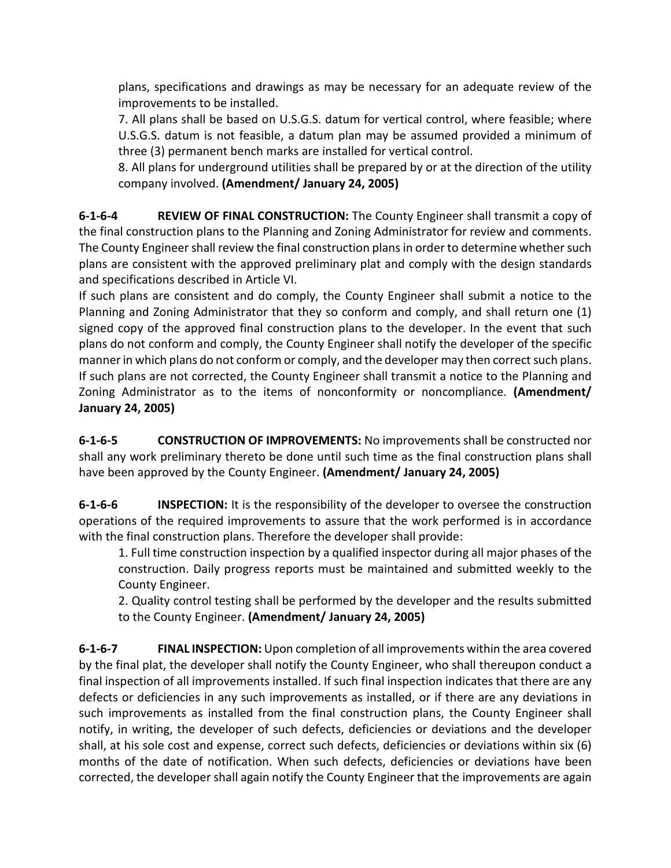plans, specifications and drawings as may be necessary for an adequate review of the improvements to be installed.

7. All plans shall be based on U.S.G.S. datum for vertical control, where feasible; where U.S.G.S. datum is not feasible, a datum plan may be assumed provided a minimum of three (3) permanent bench marks are installed for vertical control.

8. All plans for underground utilities shall be prepared by or at the direction of the utility company involved. **(Amendment/ January 24, 2005)**

**6-1-6-4 REVIEW OF FINAL CONSTRUCTION:** The County Engineer shall transmit a copy of the final construction plans to the Planning and Zoning Administrator for review and comments. The County Engineer shall review the final construction plans in order to determine whether such plans are consistent with the approved preliminary plat and comply with the design standards and specifications described in Article VI.

If such plans are consistent and do comply, the County Engineer shall submit a notice to the Planning and Zoning Administrator that they so conform and comply, and shall return one (1) signed copy of the approved final construction plans to the developer. In the event that such plans do not conform and comply, the County Engineer shall notify the developer of the specific manner in which plans do not conform or comply, and the developer may then correct such plans. If such plans are not corrected, the County Engineer shall transmit a notice to the Planning and Zoning Administrator as to the items of nonconformity or noncompliance. **(Amendment/ January 24, 2005)**

**6-1-6-5 CONSTRUCTION OF IMPROVEMENTS:** No improvements shall be constructed nor shall any work preliminary thereto be done until such time as the final construction plans shall have been approved by the County Engineer. **(Amendment/ January 24, 2005)**

**6-1-6-6 INSPECTION:** It is the responsibility of the developer to oversee the construction operations of the required improvements to assure that the work performed is in accordance with the final construction plans. Therefore the developer shall provide:

1. Full time construction inspection by a qualified inspector during all major phases of the construction. Daily progress reports must be maintained and submitted weekly to the County Engineer.

2. Quality control testing shall be performed by the developer and the results submitted to the County Engineer. **(Amendment/ January 24, 2005)**

**6-1-6-7 FINAL INSPECTION:** Upon completion of all improvements within the area covered by the final plat, the developer shall notify the County Engineer, who shall thereupon conduct a final inspection of all improvements installed. If such final inspection indicates that there are any defects or deficiencies in any such improvements as installed, or if there are any deviations in such improvements as installed from the final construction plans, the County Engineer shall notify, in writing, the developer of such defects, deficiencies or deviations and the developer shall, at his sole cost and expense, correct such defects, deficiencies or deviations within six (6) months of the date of notification. When such defects, deficiencies or deviations have been corrected, the developer shall again notify the County Engineer that the improvements are again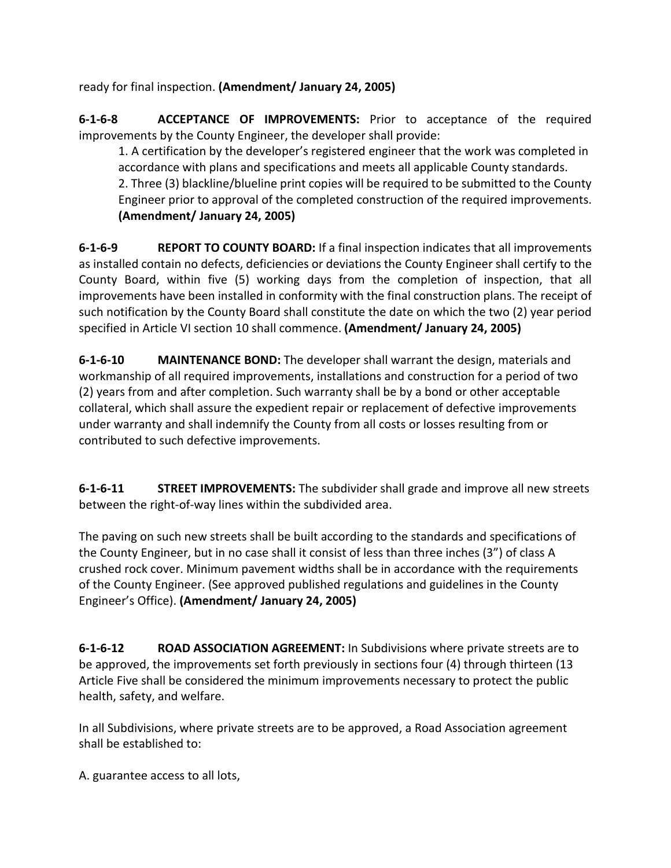ready for final inspection. **(Amendment/ January 24, 2005)**

**6-1-6-8 ACCEPTANCE OF IMPROVEMENTS:** Prior to acceptance of the required improvements by the County Engineer, the developer shall provide:

1. A certification by the developer's registered engineer that the work was completed in accordance with plans and specifications and meets all applicable County standards. 2. Three (3) blackline/blueline print copies will be required to be submitted to the County Engineer prior to approval of the completed construction of the required improvements. **(Amendment/ January 24, 2005)**

**6-1-6-9 REPORT TO COUNTY BOARD:** If a final inspection indicates that all improvements as installed contain no defects, deficiencies or deviations the County Engineer shall certify to the County Board, within five (5) working days from the completion of inspection, that all improvements have been installed in conformity with the final construction plans. The receipt of such notification by the County Board shall constitute the date on which the two (2) year period specified in Article VI section 10 shall commence. **(Amendment/ January 24, 2005)**

**6-1-6-10 MAINTENANCE BOND:** The developer shall warrant the design, materials and workmanship of all required improvements, installations and construction for a period of two (2) years from and after completion. Such warranty shall be by a bond or other acceptable collateral, which shall assure the expedient repair or replacement of defective improvements under warranty and shall indemnify the County from all costs or losses resulting from or contributed to such defective improvements.

**6-1-6-11 STREET IMPROVEMENTS:** The subdivider shall grade and improve all new streets between the right-of-way lines within the subdivided area.

The paving on such new streets shall be built according to the standards and specifications of the County Engineer, but in no case shall it consist of less than three inches (3") of class A crushed rock cover. Minimum pavement widths shall be in accordance with the requirements of the County Engineer. (See approved published regulations and guidelines in the County Engineer's Office). **(Amendment/ January 24, 2005)**

**6-1-6-12 ROAD ASSOCIATION AGREEMENT:** In Subdivisions where private streets are to be approved, the improvements set forth previously in sections four (4) through thirteen (13 Article Five shall be considered the minimum improvements necessary to protect the public health, safety, and welfare.

In all Subdivisions, where private streets are to be approved, a Road Association agreement shall be established to:

A. guarantee access to all lots,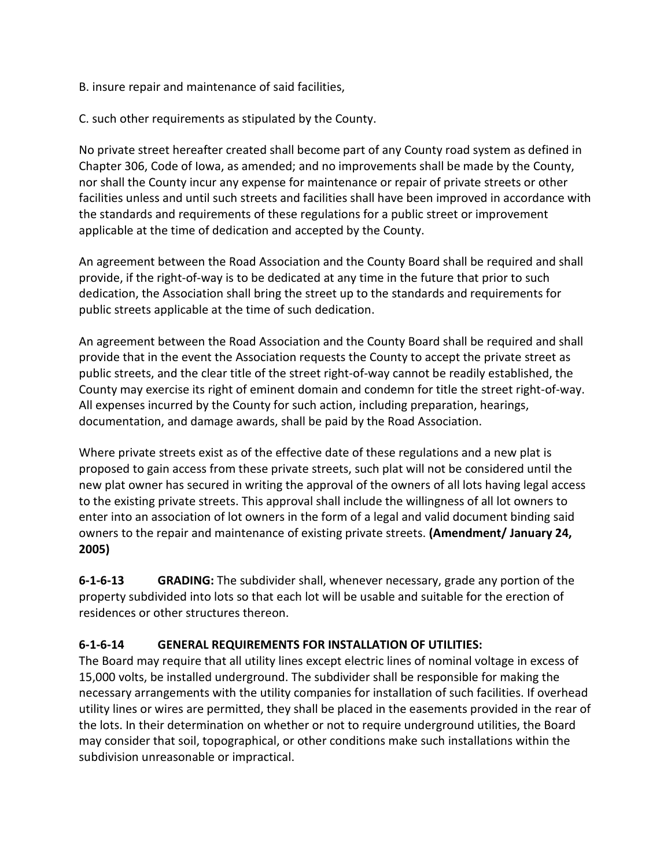B. insure repair and maintenance of said facilities,

C. such other requirements as stipulated by the County.

No private street hereafter created shall become part of any County road system as defined in Chapter 306, Code of Iowa, as amended; and no improvements shall be made by the County, nor shall the County incur any expense for maintenance or repair of private streets or other facilities unless and until such streets and facilities shall have been improved in accordance with the standards and requirements of these regulations for a public street or improvement applicable at the time of dedication and accepted by the County.

An agreement between the Road Association and the County Board shall be required and shall provide, if the right-of-way is to be dedicated at any time in the future that prior to such dedication, the Association shall bring the street up to the standards and requirements for public streets applicable at the time of such dedication.

An agreement between the Road Association and the County Board shall be required and shall provide that in the event the Association requests the County to accept the private street as public streets, and the clear title of the street right-of-way cannot be readily established, the County may exercise its right of eminent domain and condemn for title the street right-of-way. All expenses incurred by the County for such action, including preparation, hearings, documentation, and damage awards, shall be paid by the Road Association.

Where private streets exist as of the effective date of these regulations and a new plat is proposed to gain access from these private streets, such plat will not be considered until the new plat owner has secured in writing the approval of the owners of all lots having legal access to the existing private streets. This approval shall include the willingness of all lot owners to enter into an association of lot owners in the form of a legal and valid document binding said owners to the repair and maintenance of existing private streets. **(Amendment/ January 24, 2005)**

**6-1-6-13 GRADING:** The subdivider shall, whenever necessary, grade any portion of the property subdivided into lots so that each lot will be usable and suitable for the erection of residences or other structures thereon.

#### **6-1-6-14 GENERAL REQUIREMENTS FOR INSTALLATION OF UTILITIES:**

The Board may require that all utility lines except electric lines of nominal voltage in excess of 15,000 volts, be installed underground. The subdivider shall be responsible for making the necessary arrangements with the utility companies for installation of such facilities. If overhead utility lines or wires are permitted, they shall be placed in the easements provided in the rear of the lots. In their determination on whether or not to require underground utilities, the Board may consider that soil, topographical, or other conditions make such installations within the subdivision unreasonable or impractical.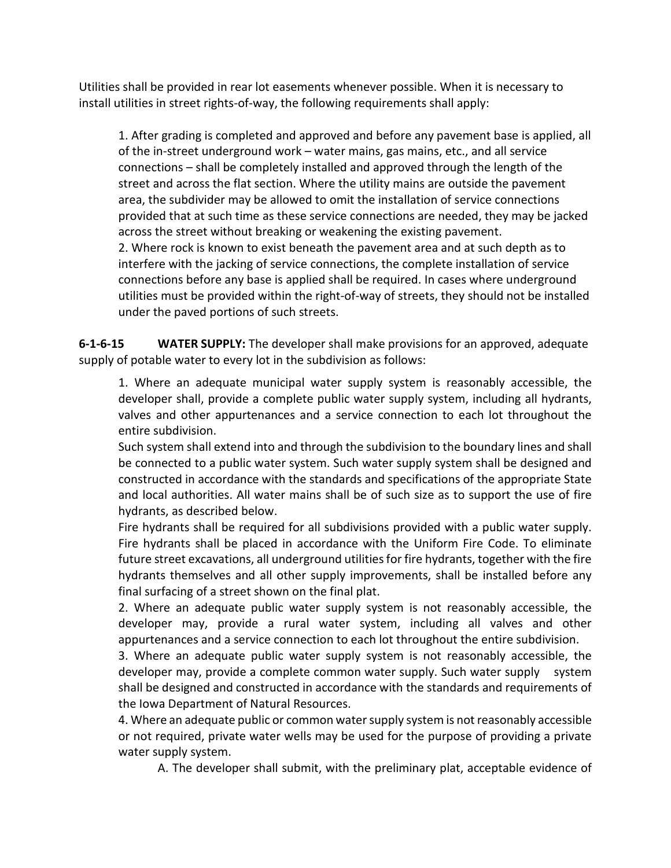Utilities shall be provided in rear lot easements whenever possible. When it is necessary to install utilities in street rights-of-way, the following requirements shall apply:

1. After grading is completed and approved and before any pavement base is applied, all of the in-street underground work – water mains, gas mains, etc., and all service connections – shall be completely installed and approved through the length of the street and across the flat section. Where the utility mains are outside the pavement area, the subdivider may be allowed to omit the installation of service connections provided that at such time as these service connections are needed, they may be jacked across the street without breaking or weakening the existing pavement.

2. Where rock is known to exist beneath the pavement area and at such depth as to interfere with the jacking of service connections, the complete installation of service connections before any base is applied shall be required. In cases where underground utilities must be provided within the right-of-way of streets, they should not be installed under the paved portions of such streets.

**6-1-6-15 WATER SUPPLY:** The developer shall make provisions for an approved, adequate supply of potable water to every lot in the subdivision as follows:

1. Where an adequate municipal water supply system is reasonably accessible, the developer shall, provide a complete public water supply system, including all hydrants, valves and other appurtenances and a service connection to each lot throughout the entire subdivision.

Such system shall extend into and through the subdivision to the boundary lines and shall be connected to a public water system. Such water supply system shall be designed and constructed in accordance with the standards and specifications of the appropriate State and local authorities. All water mains shall be of such size as to support the use of fire hydrants, as described below.

Fire hydrants shall be required for all subdivisions provided with a public water supply. Fire hydrants shall be placed in accordance with the Uniform Fire Code. To eliminate future street excavations, all underground utilities for fire hydrants, together with the fire hydrants themselves and all other supply improvements, shall be installed before any final surfacing of a street shown on the final plat.

2. Where an adequate public water supply system is not reasonably accessible, the developer may, provide a rural water system, including all valves and other appurtenances and a service connection to each lot throughout the entire subdivision.

3. Where an adequate public water supply system is not reasonably accessible, the developer may, provide a complete common water supply. Such water supply system shall be designed and constructed in accordance with the standards and requirements of the Iowa Department of Natural Resources.

4. Where an adequate public or common water supply system is not reasonably accessible or not required, private water wells may be used for the purpose of providing a private water supply system.

A. The developer shall submit, with the preliminary plat, acceptable evidence of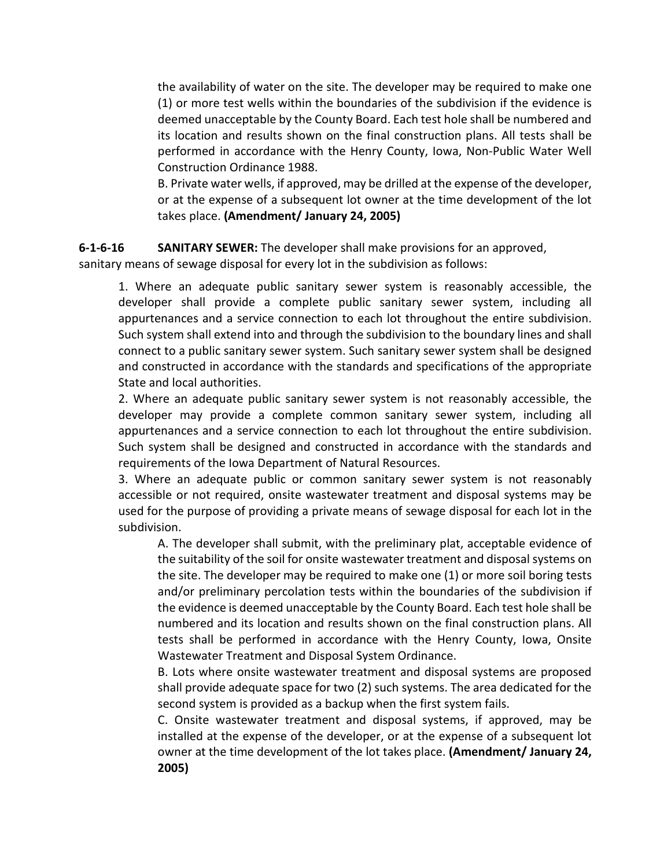the availability of water on the site. The developer may be required to make one (1) or more test wells within the boundaries of the subdivision if the evidence is deemed unacceptable by the County Board. Each test hole shall be numbered and its location and results shown on the final construction plans. All tests shall be performed in accordance with the Henry County, Iowa, Non-Public Water Well Construction Ordinance 1988.

B. Private water wells, if approved, may be drilled at the expense of the developer, or at the expense of a subsequent lot owner at the time development of the lot takes place. **(Amendment/ January 24, 2005)**

#### **6-1-6-16 SANITARY SEWER:** The developer shall make provisions for an approved,

sanitary means of sewage disposal for every lot in the subdivision as follows:

1. Where an adequate public sanitary sewer system is reasonably accessible, the developer shall provide a complete public sanitary sewer system, including all appurtenances and a service connection to each lot throughout the entire subdivision. Such system shall extend into and through the subdivision to the boundary lines and shall connect to a public sanitary sewer system. Such sanitary sewer system shall be designed and constructed in accordance with the standards and specifications of the appropriate State and local authorities.

2. Where an adequate public sanitary sewer system is not reasonably accessible, the developer may provide a complete common sanitary sewer system, including all appurtenances and a service connection to each lot throughout the entire subdivision. Such system shall be designed and constructed in accordance with the standards and requirements of the Iowa Department of Natural Resources.

3. Where an adequate public or common sanitary sewer system is not reasonably accessible or not required, onsite wastewater treatment and disposal systems may be used for the purpose of providing a private means of sewage disposal for each lot in the subdivision.

A. The developer shall submit, with the preliminary plat, acceptable evidence of the suitability of the soil for onsite wastewater treatment and disposal systems on the site. The developer may be required to make one (1) or more soil boring tests and/or preliminary percolation tests within the boundaries of the subdivision if the evidence is deemed unacceptable by the County Board. Each test hole shall be numbered and its location and results shown on the final construction plans. All tests shall be performed in accordance with the Henry County, Iowa, Onsite Wastewater Treatment and Disposal System Ordinance.

B. Lots where onsite wastewater treatment and disposal systems are proposed shall provide adequate space for two (2) such systems. The area dedicated for the second system is provided as a backup when the first system fails.

C. Onsite wastewater treatment and disposal systems, if approved, may be installed at the expense of the developer, or at the expense of a subsequent lot owner at the time development of the lot takes place. **(Amendment/ January 24, 2005)**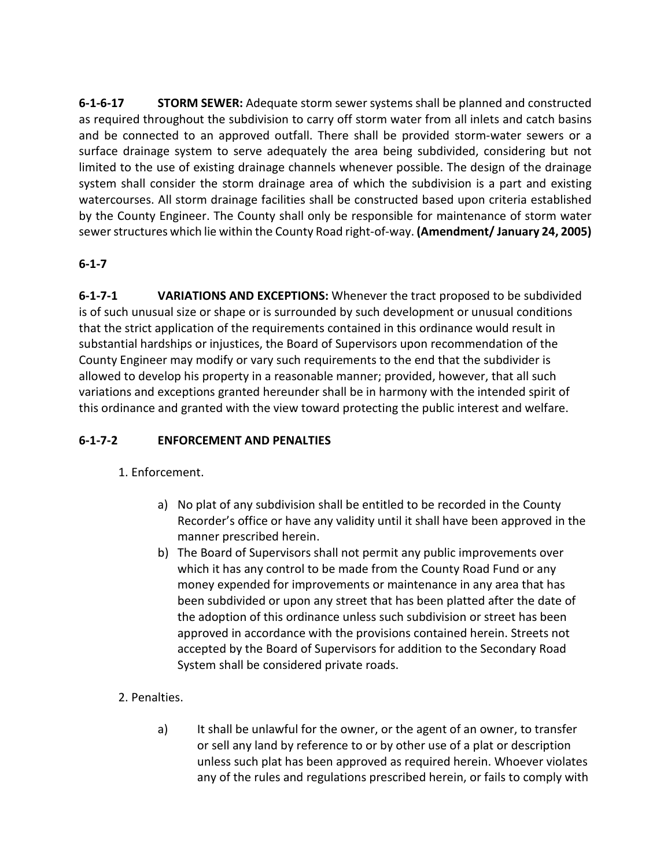**6-1-6-17 STORM SEWER:** Adequate storm sewer systems shall be planned and constructed as required throughout the subdivision to carry off storm water from all inlets and catch basins and be connected to an approved outfall. There shall be provided storm-water sewers or a surface drainage system to serve adequately the area being subdivided, considering but not limited to the use of existing drainage channels whenever possible. The design of the drainage system shall consider the storm drainage area of which the subdivision is a part and existing watercourses. All storm drainage facilities shall be constructed based upon criteria established by the County Engineer. The County shall only be responsible for maintenance of storm water sewer structures which lie within the County Road right-of-way. **(Amendment/ January 24, 2005)**

### **6-1-7**

**6-1-7-1 VARIATIONS AND EXCEPTIONS:** Whenever the tract proposed to be subdivided is of such unusual size or shape or is surrounded by such development or unusual conditions that the strict application of the requirements contained in this ordinance would result in substantial hardships or injustices, the Board of Supervisors upon recommendation of the County Engineer may modify or vary such requirements to the end that the subdivider is allowed to develop his property in a reasonable manner; provided, however, that all such variations and exceptions granted hereunder shall be in harmony with the intended spirit of this ordinance and granted with the view toward protecting the public interest and welfare.

#### **6-1-7-2 ENFORCEMENT AND PENALTIES**

# 1. Enforcement.

- a) No plat of any subdivision shall be entitled to be recorded in the County Recorder's office or have any validity until it shall have been approved in the manner prescribed herein.
- b) The Board of Supervisors shall not permit any public improvements over which it has any control to be made from the County Road Fund or any money expended for improvements or maintenance in any area that has been subdivided or upon any street that has been platted after the date of the adoption of this ordinance unless such subdivision or street has been approved in accordance with the provisions contained herein. Streets not accepted by the Board of Supervisors for addition to the Secondary Road System shall be considered private roads.

# 2. Penalties.

a) It shall be unlawful for the owner, or the agent of an owner, to transfer or sell any land by reference to or by other use of a plat or description unless such plat has been approved as required herein. Whoever violates any of the rules and regulations prescribed herein, or fails to comply with